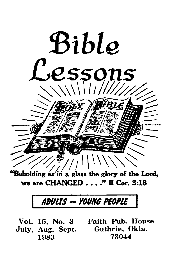

'Beholding as in a glass the glory of the Lord, we are CHANGED\_\_\_ " II Cor. 3:18

# *ADULTS* - *yOUHG PEOPLE*

**Vol. 15, No. 3 Faith Pub. House July, Aug. Sept. Guthrie, Okla. 1983 73044**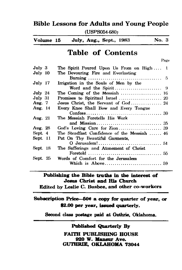# **Bible Lessons for Adults and Young People**

(USPS054-680;

| July, Aug., Sept., 1983<br>Volume 15 |  | No. 3 |  |
|--------------------------------------|--|-------|--|
|--------------------------------------|--|-------|--|

# **Table of Contents**

**Page**

| July 3          | The Spirit Poured Upon Us From on High  1   |
|-----------------|---------------------------------------------|
| July 10         | The Devouring Fire and Everlasting          |
|                 |                                             |
| July 17         | Irrigation in the Souls of Men by the       |
|                 |                                             |
| $July$ 24       | The Coming of the Messiah  16               |
| $July$ 31       |                                             |
| Aug. 7          |                                             |
| Aug. 14         | Every Knee Shall Bow and Every Tongue       |
|                 |                                             |
| Aug. 21         | The Messiah Foretells His Work              |
|                 |                                             |
| Aug. 28         |                                             |
| Sept. 4         | The Steadfast Confidence of the Messiah  46 |
| <b>Sept.</b> 11 | Put On Thy Beautiful Garments,              |
|                 |                                             |
| <b>Sept. 18</b> | The Sufferings and Atonement of Christ      |
|                 |                                             |
| Sept. 25        | Words of Comfort for the Jerusalem          |
|                 |                                             |
|                 |                                             |

# **Publishing the Bible truths in the interest of Jesus Christ and His Church**

**Edited by Leslie C. Busbee, and other co-workers**

# **Subscription Price—60\* a copy for quarter of year, or \$2.00 per year, issued quarterly.**

Second class postage paid at Guthrie, Oklahoma.

**Published Quarterly By**

**FAITH PUBLISHING HOUSE 020 W. Mansur Ave. GUTHRIE, OKLAHOMA 73044**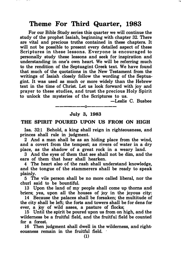For our Bible Study series this quarter we will continue the study of the prophet Isaiah, beginning with chapter 32. There are vital and precious truths contained in these chapters. It will not be possible to present every detailed aspect of these Scriptures in these lessons. Everyone is encouraged to personally study these lessons and seek for inspiration and understanding in one's own heart. We will be referring much to the rendition of the Septuagint Greek text. We have found that much of the quotations in the New Testament from the writings of Isaiah closely follow the wording of the Septuagint. It was used as much or more widely than the Hebrew text in the time of Christ. Let us look forward with joy and prayer to these studies, and trust the precious Holy Spirit to unlock the mysteries of the Scriptures to us.

-Leslie C. Busbee

# ------0------ July 3, 1983

#### THE SPIRIT POURED UPON US FROM ON HIGH

Isa. 32:1 Behold, a king shall reign in righteousness, and princes shall rule in judgment.

2 And a man shall be as an hiding place from the wind, and a covert from the tempest; as rivers of water in a dry place, as the shadow of a great rock in a weary land.

3 And the eyes of them that see shall not be dim, and the ears of them that hear shall hearken.

4 The heart also of the rash shall understand knowledge, and the tongue of the stammerers shall be ready to speak plainly.

5 The vile person shall be no more called liberal, nor the churl said to be bountiful.

13 Upon the land of my people shall come up thorns and briers; yea, upon all the houses of joy in the joyous city:

14 Because the palaces shall be forsaken; the multitude of the city shall be left; the forts and towers shall be for dens for ever, a joy of wild asses, a pasture of flocks;

15 Until the spirit be poured upon us from on high, and the wilderness be a fruitful field, and the fruitful field be counted for a forest. ·

16 Then judgment shall dwell in the wilderness, and righteousness remain in the fruitful field.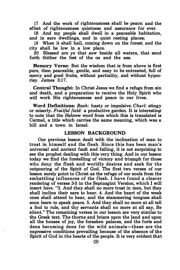17 And the work of righteousness shall be peace; and the effect of righteousness quietness and assurance for ever.

18 And my people shall dwell in a peaceable habitation, and in sure dwellings, and in quiet resting places;

19 When it shall hail, coming down on the forest; and the city shall be low in a low place.

20 Blessed are ye that sow beside all waters, that send forth thither the feet of the ox and the ass.

Memory Verse: But the wisdom that is from above is first pure, then peaceable, gentle, and easy to be entreated, full of mercy and good fruits, without partiality, and without hypocrisy. James 3:17.

Central Thought: In Christ Jesus we find a refuge from sin and death, and a preparation to receive the Holy Spirit who will work His righteousness and peace in our lives.

Word Definitions: Rash: hasty or impulsive. Churl: stingy or miserly. Fruitful field: a productive garden. It is interesting to note that the Hebrew word from which this is translated is Carmel, a title which carries the same meaning, which was a hill and a town in Israel.

#### LESSON BACKGROUND

Our previous lesson dealt with the inclination of man to trust in himself and the flesh. Since this has been man's universal and ancient fault and failing, it is not surprising to see the prophet dealing with this very thing. And in our lesson today we find the foretelling of victory and triumph for those who deny the flesh and worldly desires and seek for the outpouring of the Spirit of God. The first two verses of our lesson surely point to Christ as the refuge of our souls from the embattling influences of the flesh. I have found a clearer rendering of verses 3-5 in the Septuagint Version, which I will insert here. "3. And they shall no more trust in men, but they shall incline their ears to hear. 4. And the heart of the weak ones shall attend to hear, and the stammering tongues shall soon learn to speak peace. 5. And they shall no more at all tell a fool to rule, and thy servants shall no more at all say, Be silent." The remaining verses in our lesson are very similar to the Greek text. The thorns and briars upon the land and upon all the houses of joy, the forsaken palaces, and the forts and dens becoming dens for the wild animals-these are the expressive conditions prevailing because of the absence of the Spirit of God in the hearts of the people. It is very evident that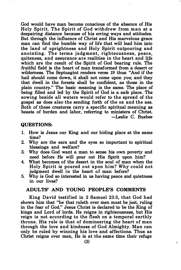God would have man become conscious of the absence of His Holy Spirit. The Spirit of God withdrew from man at a despairing distance because of his erring ways and attitudes. But through the influence of Christ and His marvelous grace man can find the humble way of life that will lead him into the land of uprightness and Holy Spirit outpouring and anointing. The terms judgment, righteousness, peace, quiteness, and assurance are realities in the heart and life which are the result of the Spirit of God bearing rule. The fruitful field is the heart of man transformed from a desert or wilderness. The Septuagint renders verse 19 thus: "And if the hail should come down, it shall not come upon you; and they that dwell in the forests shall be confident, as those in the plain country." The basic meaning is the same. The place of being filled and led by the Spirit of God is a safe place. The sowing beside all waters would refer to the spread of the gospel as does also the sending forth of the ox and the ass. Both of these creatures carry a specific spiritual meaning as beasts of burden and labor, referring to ministers of Christ. -Leslie C. Busbee

#### QUESTIONS:

- 1. How is Jesus our King and our hiding place at the same time?
- 2. Why are the ears and the eyes so important to spiritual blessings and welfare?
- 3. Why does God want a man to sense his own poverty and need before He will pour out His Spirit upon him?
- 4. What becomes of the desert in the soul of man when the Holy Spirit is poured o ut upon him? Why could not judgment dwell in the heart of man before?
- 5. Why is God so interested in us having peace and quietness in our lives?

#### ADULTS' AND YOUNG PEOPLE'S COMMENTS

King David testified in 2 Samuel 23:3, that God had shown him that "he that ruleth over men must be just, ruling in the fear of God." Jesus Christ is declared to be the King of kings and Lord of lords. He reigns in righteousness, but His reign is not according to the flesh on a temporal earthly throne. His rule is that of domineering the heart of man through the love and kindness of God Almighty. Man can only be ruled by winning his love and affections. Thus as Christ reigns over men, He is at the same time their refuge

 $\bullet$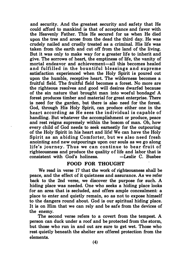and security. And the greatest security and safety that He could afford to mankind is that of acceptance and favor with the Heavenly Father. This He secured for us when He died upon the tree and arose from the dead the third day. He was crudely nailed and cruelly treated as a criminal. His life was taken from the earth and cut off from the land of the living. But it was only to make way for a greater life to inherit and give. The sorrows of heart, the emptiness of life, the vanity of mortal endeavor and achievement-all this becomes healed and fulfilled in the bountiful blessings and supreme satisfaction experienced when the Holy Spirit is poured out upon the humble, receptive heart. The wilderness becomes a fruitful field. The fruitful field becomes a forest. No more are the righteous resolves and good will desires dwarfed because of the sin nature that brought man into woeful bondage! A forest produces timber and material for great enterprise. There is need for the garden, but there is also need for the forest. God, through His Holy Spirit, can produce either one in the heart according as He sees the individual is capable of handling. But whatever the accomplishment or produce, peace and rest reigns supremely within the bosom of man. Oh, how every child of God needs to seek earnestly for the outpouring of the Holy Spirit in his heart and life! We can have the Holy Spirit as an abiding Comforter, but we also need fresh anointing and new outpourings upon our souls as we go along life's journey. Thus we can continue to bear fruit of righteousness and produce the quality of life and labor that is consistent with God's holiness.

#### FOOD FOR THOUGHT

We read in verse 17 that the work of righteousness shall be peace, and the effect of it quietness and assurance. As we refer back to the 2nd verse, we discover the purpose for such. A hiding place was needed. One who seeks a hiding place looks for an area that is secluded, and offers ample concealment: a place to enter and quietly remain, so as not to expose himself to the dangers round about. God is our spiritual hiding· place. It is on Him that we can rely and be safe from the devices of the enemy.

The second verse refers to a covert from the tempest. A person can duck under a roof and be protected from the storm, but those who run in and out are sure to get wet. Those who rest quietly beneath the shelter are offered protection from the elements.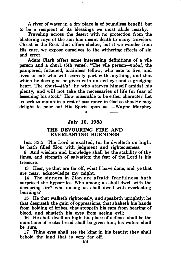A river of water in a dry place is of boundless benefit, but to be a recipient of its blessings we must abide nearby.

Traveling across the desert with no protection from the blistering rays of the sun has meant death to many travelers. Christ is the Rock that offers shelter, but if we wander from His care, we expose ourselves to the withering effects of sin and error.

Adam Clark offers some interesting definitions of a vile person and a churl. (5th verse). "The vile person-nabal, the pampered, fattened, brainless fellow, who eats to live, and lives to eat: who will scarcely part with anything, and that which he does give he gives with an evil eye and a grudging heart. The churl—kilai, he who starves himself amidst his plenty, and will not take the necessaries of life for fear of lessening his stock." How miserable to be either character! Let us seek to maintain a rest of assurance in God so that He may delight to pour out His Spirit upon us.  $-Wavne$  Murphey -------0-------

#### July 10, 1988

#### THE DEVOURING FIRE AND EVERLASTING BURNINGS

Isa. 33:5 The Lord is exalted; for he dwelleth on high: he hath filled Zion with judgment and righteousness.

6 And wisdom and knowledge shall be the stability of thy times, and strength of salvation: the fear of the Lord is his treasure.

13 Hear, ye that are far off, what I have done; and, ye that are near, acknowledge my might.

14 The sinners in Zion are afraid; fearfulness hath surprised the hypocrites. Who among us shall dwell with the devouring fire? who among us shall dwell with everlasting burnings?

15 He that walketh righteously, and speaketh uprightly; he that despiseth the gain of oppressions, that shaketh his hands from holding of bribes, that stoppeth his ears from hearing of blood, and shutteth his eyes from seeing evil;

16 He shall dwell on high: his place of defence shall be the munitions of rocks: bread shall be given him; his waters shall be sure.

17 Thine eyes shall see the king in his beauty: they shall behold the land that is very far off.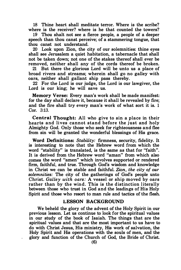18 Thine heart shall meditate terror. Where is the scribe? where is the receiver? where is he that counted the towers?

19 Thou shalt not see a fierce people, a people of a deeper speech than thou canst perceive; of a stammering tongue, that thou canst not understand.

20 Look upon Zion, the city of our solemnities: thine eyes shall see Jerusalem a quiet habitation, a tabernacle that shall not be taken down; not one of the stakes thereof shall ever be removed, neither shall any of the cords thereof be broken.

21 But there the glorious Lord will be unto us a place of broad rivers and streams; wherein shall go no galley with oars, neither shall gallant ship pass thereby.

22 For the Lord is our judge, the Lord is our lawgiver, the Lord is our king; he will save us.

Memory Verse: Every man's work shall be made manifest: for the day shall declare it, because it shall be revealed by fire; and the fire shall try every man's work of what sort it is. 1 Cor. 3:13.

Central Thought: All who give to sin a place in their hearts and lives cannot stand before the just and holy Almighty God. Only those who seek for righteousness and flee from sin will be granted the wonderful blessings of His grace.

Word Definitions: Stability: firmness, security, fidelity. It is interesting to note that the Hebrew word from which the word "stability" is translated, is the same as that for "faith". It is derived from the Hebrew word "aman" from which also comes the word "amen" which involves supported or rendered firm, faithful, and true. Through God's wisdom and knowledge in Christ we can be stable and faithful. Zion, the city of our solemnities: The city of the gatherings of God's people unto Christ. Galley with oars: A vessel or ship moved by oars rather than by the wind. This is the distinction literally between those who trust in God and the leadings of His Holy Spirit and those who resort to man rule and tactics of the flesh.

#### LESSON BACKGROUND

We beheld the glory of the advent of the Holy Spirit in our previous lesson. Let us continue to look for the spiritual values in our study of the book of Isaiah. The things that are the spiritual values and that are the most important to us have to do with Christ Jesus, His ministry, His work of salvation, the Holy Spirit and His operations with the souls of men, and the glory and function of the Church of God, the Bride of Christ.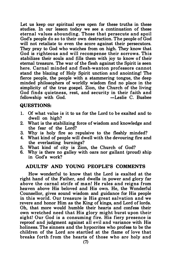Let us keep our spiritual eyes open for these truths in these studies. In our lesson today we see a continuation of these eternal values abounding. Those that persecute and spoil God's people do so to their own destruction. The people of God will not retaliate to even the score against their persecutors. They pray to God who watches from on high. They know that God is righteous and will recompense their sorrows. This stabilizes their souls and fills them with joy to know of their eternal treasure. The war of the flesh against the Spirit is seen here. Carnal minded and flesh-wanton professors cannot stand the blazing of Holy Spirit unction and anointing! The fierce people, the people with a stammering tongue, the deep minded philosophers of worldly wisdom find no place in the simplicity of the true gospel. Zion, the Church of the living God finds quietness, rest, and security in their faith and fellowship with God.  $-$  Leslie C. Busbee fellowship with God.

#### QUESTIONS:

- 1. Of what value is it to us for the Lord to be exalted and to dwell on high?
- 2. What is the stabilizing force of wisdom and knowledge and the fear of the Lord?
- 3. Why is holy fire so repulsive to the fleshly minded?
- 4. What kind of people will dwell with the devouring fire and the everlasting burnings?
- 5. What kind of city is Zion, the Church of God?
- 6. Why is there no galley with oars nor gallant (proud) ship in God's work?

#### ADULTS' AND YOUNG PEOPLE'S COMMENTS

How wonderful to know that the Lord is exalted at the right hand of the Father, and dwells in power and glory far above the carnal strife of man! He rules and reigns from heaven above His beloved and His own. He, the Wonderful Counsellor, gives sound wisdom and guidance for His people in this world. Our treasure is His great salvation and we revere and honor Him as the King of kings, and Lord of lords. Oh, that more would humble their hearts and confess their own wretched need that His glory might burst upon their sight! Our God is a consuming fire. His fiery presence is reproof and judgment against all evil and variance with His holiness. The sinners and the hypocrites who profess to be the children of the Lord are startled at the flame of love that breaks forth from the hearts of those who are holy and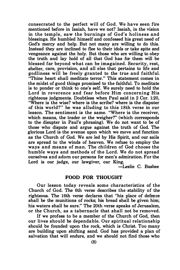consecrated to the perfect will of God. We have seen fire mentioned before in Isaiah, have we not? Isaiah, in the vision in the temple, saw the burnings of God's holiness and blessings. He humbled himself and confessed his great need of God's mercy and help. But not many are willing to do this. Instead they are inclined to flee to their idols or take spite and vengeance against the holy. But those who are willing to obey the truth and lay hold of all that God has for them will be blessed far beyond what can be imagained. Security, rest, shelter, care, provision, and all else that pertains to life and godliness will be freely granted to the true and faithful. "Thine heart shall meditate terror." This statement comes in the midst of good things promised to the faithful. To meditate is to ponder or think to one's self. We surely need to hold the Lord in reverence and fear before Him concerning His righteous judgments. Doubtless when Paul said in 2 Cor. 1:20, "Where is the wise? where is the scribe? where is the disputer of this world?" he was alluding to this 18th verse in our lesson. The sentiment is the same. "Where is the receiver, which means, the trader or the weigher?" (which corresponds to the disupter in Paul's phrasing). We do not want to be of those who dispute and argue against the truth of God. The glorious Lord is the avenue upon which we move and function as the Church of God. We are led by His Spirit, and our sails are spread to the winds of heaven. We refuse to employ the ways and means of man. The children of God choose the humble ways and methods of the Lord. We do not spread ourselves and adorn our persons for men's admiration. For the Lord is our judge, our lawgiver, our King.

-Leslie C. Busbee

#### FOOD FOR THOUGHT

Our lesson today reveals some characteristics of the Church of God. The 6th verse describes the stability of the righteous. The 16th verse declares that "his place of defence shall be the munitions of rocks; his bread shall be given him; his waters shall be sure." The 20th verse speaks of Jerusalem, or the Church, as a tabernacle that shall not be removed.

If we profess to be a member of the Church of God, then our lives should be dependable. Our spiritual relationship should be founded upon the rock, which is Christ. Too many are building upon shifting sand. God has provided a plan of salvation that will endure, and we should not find those who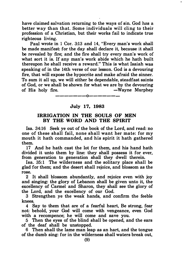have claimed salvation returning to the ways of sin. God has a better way than that. Some individuals will cling to their profession of a Christian, but their works fail to indicate true righteous living.

Paul wrote in 1 Cor. 3:13 and 14, "Every man's work shall be made manifest: for the day shall declare it, because it shall be revealed by fire; and the fire shall try every man's work of what sort it is. If any man's work abide which he hath built thereupon he shall receive a reward." This is what Isaiah was speaking of in the 14th verse of our lesson. God is a devouring fire, that will expose the hypocrite and make afraid the sinner. To sum it all up, we will either be dependable, steadfast saints of God, or we shall be shown for what we are by the devouring of His holy fire.  $\longrightarrow$  —Wayne Murphey

#### July 17, 1983

-------0-------

#### IRRIGATION IN THE SOULS OF MEN BY THE WORD AND THE SPIRIT

Isa. 34:16 Seek ye out of the book of the Lord, and read: no one of these shall fail, none shall want her mate: for my mouth it hath commanded, and his spirit it hath gathered them.

17 And he hath cast the lot for them, and his hand hath divided it unto them by line: they shall possess it for ever, from generation to generation shall they dwell therein.

Isa. 35:1 The wilderness and the solitary place shall be glad for them; and the desert shall rejoice, and blossom as the rose.

2 It shall blossom abundantly, and rejoice even with joy and singing: the glory of Lebanon shall be given unto it, the excellency of Carmel and Sharon, they shall see the glory of the Lord, and the excellency of our God.

3 Strengthen ye the weak hands, and confirm the feeble knees.

4 Say to them that are of a fearful heart, Be strong, fear not: behold, your God will come with vengeance, even God with a recompence; he will come and save you.

5 Then the eyes of the blind shall be opened, and the ears of the deaf shall be unstopped.

6 Then shall the lame man leap as an hart, and the tongue of the dumb sing: for in the wilderness shall waters break out,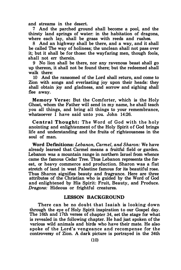and streams in the desert.

7 And the parched ground shall become a pool, and the thirsty land springs of water: in the habitation of dragons, where each lay, shall be grass with reeds and rushes.

8 And an highway shall be there, and a way, and it shall be called The way of holiness; the unclean shall not pass over it; but it shall be for those: the wayfaring men, though fools, shall not err therein.

9 No lion shall be there, nor any ravenous beast shall go up thereon, it shall not be found there; but the redeemed shall walk there:

10 And the ransomed of the Lord shall return, and come to Zion with songs and everlasting joy upon their heads: they shall obtain joy and gladness, and sorrow and sighing shall flee away.

Memory Verse: But the Comforter, which is the Holy Ghost, whom the Father will send in my name, he shall teach you all things, and bring all things to your remembrance, whatsoever I have said unto you. John  $14:26$ .

Central Thought: The Word of God with the holy anointing and enlightenment of the Holy Spirit of God brings life and understanding and the fruits of righteousness in the soul of man.

Word Definitions: Lebanon, Carmel, and Sharon: We have already learned that Carmel means a fruitful field or garden. Lebanon was a mountain range in northern Israel from whence came the famous Cedar Tree. Thus Lebanon represents the forest, or heavy commerce and production. Sharon was a flat stretch of land in west Palestine famous for its beautiful rose. Thus Sharon signifies beauty and fragrance. Here are three attributes of the Christian who is guided by the Word of God and enlightened by His Spirit: Fruit, Beauty, and Produce. Dragons: Hideous or frightful creatures.

#### LESSON BACKGROUND

There can be no doubt that Isaiah is looking down through the eye of Holy Spirit inspiration to our Gospel day. The 16th and 17th verses of chapter 34, set the stage for what is revealed in the following chapter. He had just spoken of the various wild animals and birds who have their mate. He also spoke of the Lord's vengeance and recompense for the controversy of Zion. A dark picture is portrayed in the 34th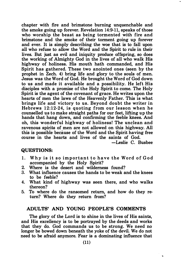chapter with fire and brimstone burning unquenchable and the smoke going up forever. Revelation 14:9·11, speaks of those who worship the beast as being tormented with fire and brimstone and the smoke of their torment going up forever and ever. It is simply describing the woe that is to fall upon all who refuse to allow the Word and the Spirit to rule in their lives. But just as evil and iniquity produce offspring, so does the working of Almighty God in the lives of all who walk His highway of holiness. His mouth hath commanded, and His Spirit has gathered. These two anointed ones (seen by the prophet in Zech. 4) bring life and glory to the souls of men. Jesus was the Word of God. He brought the Word of God down to us and made it available and a possibility. He left His disciples with a promise of the Holy Spirit to come. The Holy Spirit is the agent of the covenant of grace. He writes upon the hearts of men the laws of the Heavenly Father. This is what brings life and victory to us. Beyond doubt the writer in Hebrews  $12:12-24$ , is quoting from our lesson when he counselled us to make straight paths for our feet, lifting up the hands that hang down, and confirming the feeble knees. And oh, this wonderful highway of holiness! The unclean and ravenous spirits of men are not allowed on this highway. All this is possible because of the Word and the Spirit having free course in the hearts and lives of the saints of God.

-Leslie C. Busbee

#### QUESTIONS:

- 1. Why is it so important to have the Word of God accompanied by the Holy Spirit?
- 2. Where is the desert and wilderness found?<br>3. What influence causes the hands to be weak a
- What influence causes the hands to be weak and the knees to be feeble?
- 4. What kind of highway was seen there, and who walks thereon?
- 5. To where do the ransomed return, and how do they return? Where do they return from?

#### ADULTS' AND YOUNG PEOPLE'S COMMENTS

The glory of the Lord is to shine in the lives of His saints, and His excellency is to be portrayed by the deeds and works that they do. God commands us to be strong. We need no longer be bowed down beneath the yoke of the devil. We do not need to be afraid anymore. Fear is a dominating influence that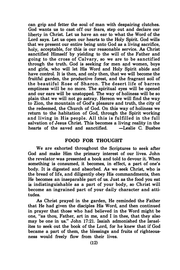can grip and fetter the soul of man with despairing clutches. God wants us to cast off our fears, step out and declare our liberty in Christ. Let us have an ear to what the Word of the Lord says. Let us open our hearts to the Holy Spirit. God wills that we present our entire being unto God as a living sacrifice, holy, acceptable, for this is our reasonable service. As Christ sanctified Himself by yielding to the will of the Father and going to the cross of Calvary, so we are to be sanctified through the truth. God is seeking for men and women, boys and girls, who will let His Word and Holy Spirit abide and have control. It is then, and only then, that we will become the fruitful garden, the productive forest, and the fragrant soil of the beautiful Rose of Sharon. The desert life of barren emptiness will be no more. The spiritual eyes will be opened and our ears will be unstopped. The way of holiness will be so plain that we will not go astray. Hereon we will find the way to Zion, the mountain of God's pleasure and truth, the city of the redeemed, the Church of God. On this way of holiness we return to the habitation of God, through the Spirit working and living in His people. All this is fulfilled in the full salvation of Jesus Christ. This becomes a living reality in the hearts of the saved and sanctified. -Leslie C. Busbee

#### FOOD FOR THOUGHT

We are exhorted throughout the Scriptures to seek after God and make Him the primary interest of our lives. John the revelator was presented a book and told to devour it. When something is consumed, it becomes, in effect, a part of one's body. It is digested and absorbed. As we seek Christ, w�o is the bread of life, and diligently obey His commandments, then He becomes an inseparable part of us. Just as the food you eat is indistinguishable as a part of your body, so Christ will become an ingrained part of your daily character and attitudes.

As Christ prayed in the garden, He reminded the Father that He had given the disciples His Word, and then continued in prayer that those who had believed in the Word might be one, "as thou, Father, art in me, and I in thee, that they also may be one in us." John 17:21. Isaiah admonished the Israelites to seek out the book of the Lord, for he knew that if God became a part of them, the blessings and fruits of righteousness would freely flow from their lives.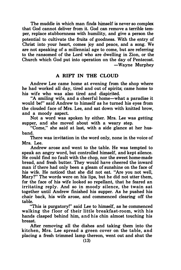The muddle in which man finds himself is never so complex that God cannot deliver from it. God can remove a terrible temper, replace stubbornness with humility, and give a person the potential to cultivate the fruits of goodness. With the �entry of Christ into your heart, comes joy and peace, and a song. We are not speaking of a millennial age to come, but are referring to the ransomed of the Lord who are dwelling in Zion, or the Church which God put into operation on the day of Pentecost. -Wayne Murphey

#### A RIFT IN THE CLOUD

Andrew Lee came home at evening from the shop where he had worked all day, tired and out of spirits; came home to his wife who was also tired and dispirited.

"A smiling wife, and a cheerful home-what a paradise it would be!" said Andrew to himself as he turned his eyes from the clouded face of Mrs. Lee, and sat down with knitted brow, and a moody aspect.

Not a word was spoken by either. Mrs. Lee was getting supper, and she moved about with a weary step.

"Come," she said at last, with a side glance at her husband.

There was invitation in the word only, none in the voice of Mrs. Lee.

Andrew arose and went to the table. He was tempted to speak an angry word, but controlled himself, and kept silence. He could find no fault with the chop, nor the sweet home-made bread, and fresh butter. They would have cheered the inward man if there had only been a gleam of sunshine on the face of his wife. He noticed that she did not eat. "Are you not well, Mary?" The words were on his lips, but he did not utter them, for the face of his wife looked so repellant, that he feared an irritating reply. And so in moody silence, the twain sat together until Andrew finished his supper. As he pushed his chair back, his wife arose, and commenced clearing off the table.

"This is purgatory!" said Lee to himself, as he commenced walking the floor of their little breakfast-room, with his hands clasped behind him, and his chin almost touching his breast.

After removing all the dishes and taking them into the kitchen, Mrs. Lee spread a green cover on the table, and placing a fresh trimmed lamp thereon, went out and shut the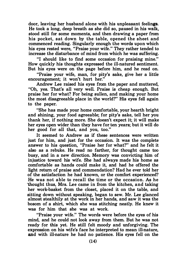door, leaving her husband alone with his unpleasant feelings. door, icaving her hassand diene want ins an preasant reemigs.<br>He took a long, deep breath as she did so, paused in his walk, stood still for some moments, and then drawing a paper from his pocket, sat down by the table, opened the sheet and commenced reading. Singularly enough the words upon which his eyes rested were, "Praise your wife." They rather tended to increase the disturbance of mind from which he was suffering.

"I should like to find some occasion for praising mine." How quickly his thoughts expressed the ill-natured sentiment. But his eyes were on the page before him, and he read on.

"Praise your wife, man, for pity's sake, give her a little encouragement; it won't hurt her."

Andrew Lee raised his eyes from the paper and muttered, "Oh, yes. That's all very well. Praise is cheap enough. But praise her for what? For being sullen, and making your home the most disagreeable place in the world?" His eyes fell again to the paper.

"She has made your home comfortable, your hearth bright and shining, your food agreeable; for pity's sake, tell her you thank her, if nothing more. She doesn't expect it; it will make her eyes open wider than they have for ten years; but it will do her good for all that, and you, too."

It seemed to Andrew as if these sentences were written just for him, and just for the occasion. It was the complete answer to his question, "Praise her for what?" and he felt it also as a rebuke. He read no farther, for thought came too busy, and in a new direction. Memory was convicting him of injustice toward his wife. She had always made his home as comfortable as hands could make it, and had he offered the light return of praise and commendation? Had he ever told her of the satisfaction he had known, or the comfort experienced? He was not able to recall the time or the occasion. As he ·thought thus, Mrs. Lee came in from the kitchen, and taking her work-basket from the closet, placed it on the table, and sitting down without speaking, began to sew. Mr. Lee glanced almost stealthily at the work in her hands, and saw it was the bosom of a shirt, which she was stitching neatly. He knew it was for him that she was at work.

"Praise your wife." The words were before the eyes of his mind, and he could not look away from them. But he was not ready for this yet. He still felt moody and unforgiving. The expression on his wife's face he interpreted to mean ill-nature, and with ill-nature he had no patience. His eyes fell on the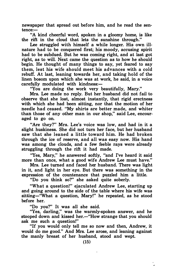newspaper that spread out before him, and he read the sen· tence:-

"A kind cheerful word, spoken in a gloomy home, is like the rift in the cloud that lets the sunshine through."

Lee struggled with himself a while longer. His own illnature had to be conquered first; his moody, accusing spirit had to be subdued. But he was coming right, and at last got right, as to will. Next came the question as to how he should begin. He thought of many things to say, yet feared to say them, lest his wife should meet his advances with a cold rebuff. At last, leaning towards her, and taking hold of the linen bosom upon which she was at work, he said, in a voice carefully modulated with kindness:-

"You are doing the work very beautifully, Mary."

Mrs. Lee made no reply. But her husband did not fail to observe that she lost, almost instantly, that rigid erectness with which she had been sitting, nor that the motion of her needle had ceased. "My shirts are better made, and whiter than those of any other man in our shop," said Lee, encouraged to go on.

"Are they?" Mrs. Lee's voice was low, and had in it a slight huskiness. She did not turn her face, but her husband saw that she leaned a little toward him. He had broken through the ice of reserve, and all was easy now. His hand was among the clouds, and a few feeble rays were already struggling through the rift it had made.

"Yes, Mary," he answered softly, "and I've heard it said more than once, what a good wife Andrew Lee must have."

Mrs. Lee turned and faced her husband. There was light in it, and light in her eye. But there was something in the expression of the countenance that puzzled him a little.

"Do you think so?" she asked quite soberly.

"What a question!" ejaculated Andrew Lee, starting up and going around to the side of the table where his wife was sitting-"What a question, Mary!" he repeated, as he stood before her.

"Do you?" It was all she said.

"Yes, darling," was the warmly-spoken answer, and he stooped down and kissed her.-"How strange that you should ask me such a question!"

"If you would only tell me so now and then, Andrew, it would do me good." And Mrs. Lee arose, and leaning against the manly breast of her husband, stood and wept.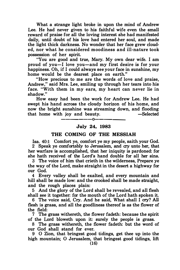What a strange light broke in upon the mind of Andrew Lee. He had never given to his faithful wife even the small reward of praise for all the loving interest she had manifested daily, until doubt of his love had entered her soul, and made the light thick darkness. No wonder that her face grew clouded, nor what he considered moodiness and ill-nature took possession of her spirit.

"You are good and true, Mary. My own dear wife. I am proud of you-I love you-and my first desire is for your happiness. Oh, if I could always see your face in sunshine, my home would be the dearest place on earth."

"How precious to me are the words .of love and praise, Andrew," said Mrs. Lee, smiling up through her tears into his face. "With them in my ears, my heart can never lie in shadow."

How easy had been the work for Andrew Lee. He had swept his hand across the cloudy horizon of his home, and now the bright sunshine was streaming down, and flooding that home with joy and beauty. -Selected

# -------0------- July 24, 1983

#### THE COMING OF THE MESSIAH

Isa. 40:1 Comfort ye, comfort ye my people, saith your God. 2 Speak ye comfortably to Jerusalem, and cry unto her, that her warfare is accomplished, that her iniquity is pardoned: for she hath received of the Lord's hand double for all her sins.

3 The voice of him that crieth in the wilderness, Prepare ye the way of the Lord, make straight in the desert a highway for our God.

4 Every valley shall be exalted, and every mountain and hill shall be made low: and the crooked shall be made straight, and the rough places plain:

5 And the glory of the Lord shall be revealed, and all flesh shall see it together: for the mouth of the Lord hath spoken it.

6 The voice said, Cry. And he said, What shall I cry? All flesh is grass, and all the goodliness thereof is as the flower of the field:

7 The grass withereth, the flower fadeth: because the spirit of the Lord bloweth upon it: surely the people is grass.

8 The grass withereth, the flower fadeth: but the word of our God shall stand for ever.

9 0 Zion, that bringest good tidings, get thee up into the high mountain; 0 Jerusalem, that bringest good tidings, lift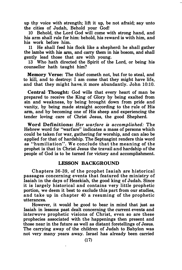up thy voice with strength; lift it up, be not afraid; say unto the cities of Judah, Behold your God!

10 Behold, the Lord God will come with strong hand, and his arm shall rule for him: behold, his reward is with him, and his work before him.

11 He shall feed his flock like a shepherd: he shall gather the lambs with his arm, and carry them in his bosom, and shall gently lead those that are with young.

13 Who hath directed the Spirit of the Lord, or being his counsellor hath taught him?

Memory Verse: The thief cometh not, but for to steal, and to kill, and to destroy: I am come that they might have life, and that they might have it more abundantly. John 10:10.

Central Thought: God wills that every heart of man be prepared to receive the King of Glory by being exalted from sin and weakness, by being brought down from pride and vanity, by being made straight according to the rule of His arm, and by becoming one of His sheep and experiencing the tender loving care of Christ Jesus, the good Shepherd.

Word Definitions: Her warfare is accomplished: The Hebrew word for "warfare" indicates a mass of persons which could be taken for war, gathering for worship, and can also be applied for that of hardship. The Septuagint renders this word as "humiliation". We conclude that the meaning of the prophet is that in Christ Jesus the travail and hardship of the people of God is to be turned for victory and accomplishment.

#### LESSON BACKGROUND

Chapters 36-39, of the prophet Isaiah are historical passages concerning events that featured the ministry of Isaiah in the days of Hezekiah, the good king of Judah. Since it is largely historical and contains very little prophetic portion, we deem it best to exclude this part from our studies, and take up in chapter 40 a resuming of the prophetic utterances.

However, it would be good to bear in mind that just as Isaiah in lessons past dealt concerning the current events and interwove prophetic visions of Christ, even so are these prophecies associated with the happenings then present and those near in the future as well as distant foretellings of Jesus. The carrying away of the children of Judah to Babylon was not very many years away. Israel has already been carried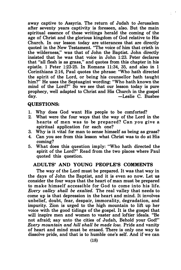away captive to Assyria. The return of Judah to Jerusalem after seventy years captivity is foreseen, also. But the main spiritual essence of these writings herald the coming of the age of Christ and the glorious kingdom of God relative to His Church. In our lesson today are utterances that are directly quoted in the New Testament. "The voice of him that crieth in the wilderness," was that of John the Baptist. John directly insisted that he was that voice in John 1:23. Peter declares that "all flesh is as grass," and quotes from this chapter in his epistle. 1 Peter 1:23-25. In Romans 11:34, 35, and also in 1 Corinthians 2:16, Paul quotes the phrase: "Who hath directed the spirit of the Lord, or being his counsellor hath taught him?" He uses the Septuagint wording: "Who hath known the mind of the Lord?" So we see that our lesson today is pure prophecy, well adapted to Christ and His Church in the gospel day. -Leslie C. Busbee

#### QUESTIONS:

- 1. Why does God want His people to be comforted?
- 2. What were the four ways that the way of the Lord in the hearts of men was to be prepared? Can you give a spiritual application for each one?
- 3. Why is it vital for man to sense himself as being as grass?
- 4. Can you see from this lesson what Christ was to do at His coming?
- 5. What does this question imply: "Who hath directed the spirit of the Lord?" Read from the two places where Paul quoted this question.

#### ADULTS' AND YOUNG PEOPLE'S COMMENTS

The way of the Lord must be prepared. It was that way in the days of John the Baptist, and it is even so now. Let us consider the four ways that the heart of man must be prepared to make himself accessible for God to come into his life. Every valley shall be exalted. The real valley that needs to come up is that depression in the heart and mind. It involves unbelief, doubt, fear, despair, immorality, degradation, and impurity. Zion is urged to the high mountain to lift up her voice with the good tidings of the gospel. It is the gospel that will inspire men and women to vaster and loftier ideals. "Be not afraid; say unto the cities of Judah, Behold your God!" Every mountain and hill shall be made low. Pride and vanity of heart and mind must be erased. There is only one way to dissolve pride, and that is to humble one's self. And if we can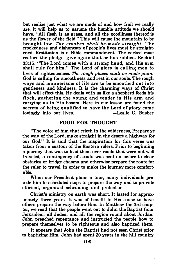but realize just what we are made of and how frail we really are, it will help us to assume the humble attitude we should have. "All flesh is as grass, and all the goodliness thereof is as the flower of the field." This will cause the mountain to be brought low. The crooked shall be, made straight. The crookedness and dishonesty of people's lives must be straightened. Restitution is a Bible commandment. The wicked must restore the pledge, give again that he has robbed. Ezekiel 33:15. "The Lord comes with a strong hand, and His arm shall rule for him." The Lord of glory is calling men to lives of righteousness. The rough places shall be made plain. God is calling for smoothness and rest in our souls. The rough ways and mannerisms of life are to be smoothed out into gentleness and kindness. It is the charming ways of Christ that will effect this. He deals with us like a shepherd feeds his flock, gathering the young and tender in His arm and carrying us in His bosom. Here in our lesson are found the secrets of being qualified to have the Lord of glory come lovingly into our lives. -Leslie C. Busbee

#### FOOD FOR THOUGHT

"The voice of him that crieth in the wilderness, Prepare ye the way of the Lord, make straight in the desert a highway for our God." It is said that the inspiration for this verse was taken from a custom of the Eastern rulers. Prior to beginning a journey that was to lead them over roads that were not well traveled, a contingency of scouts was sent on before to clear obstacles or bridge chasms and otherwise prepare the route for the ruler to travel, in order to make the journey more comfortable.

When our President plans a tour, many individuals precede him to scheduled stops to prepare the way and to provide efficient, organized scheduling and protection.

Christ's ministry on earth was short. It lasted for approximately three years. It was of benefit to His cause to have others prepare the way before Him. In Matthew the 3rd chapter, we read that the people went out to John the Baptist from Jerusalem, all Judea, and all the region round about Jordan. John preached repentance and instructed the people how to prepare themselves to be righteous and also baptized them.

It appears that John the Baptist had not seen Christ prior to baptizing Him. John had spent 30 years in the hill country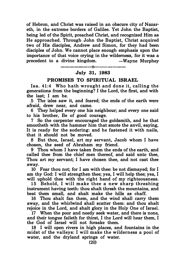of Hebron, and Christ was raised in an obscure city of Nazareth, in the extreme borders of Galilee. Yet John the Baptist, being led of the Spirit, preached Christ, and recognized Him as He approached. Through John the Baptist, Christ acquired two of His disciples, Andrew and Simon, for they had been disciples of John. We cannot place enough emphasis upon the importance of that voice crying in the wilderness, for it was a precedent to a divine kingdom.  $\hspace{1.6cm}$  -Wayne Murphey

#### ———————0——————— July 31, 1983

#### PROMISES TO SPIRITUAL ISRAEL

Isa. 41:4 Who hath wrought and done it, calling the generations from the beginning? I the Lord, the first, and with the last; I am he.

5 The isles saw it, and feared; the ends of the earth were afraid, drew near, and came.

6 They helped every one his neighbour; and every one said to his brother, Be of good courage.

7 So the carpenter encouraged the goldsmith, and he that smootheth with the hammer him that smote the anvil, saying, It is ready for the sodering: and he fastened it with nails, that it should not be moved.

8 But thou, Israel, art my servant, Jacob whom I have chosen, the seed of Abraham my friend.

9 Thou whom I have taken from the ends of the earth, and called thee from the chief men thereof, and said unto thee, Thou art my servant; I have chosen thee, and not cast thee away.

10 Fear thou not; for I am with thee: be not dismayed; for I am thy God: I will strengthen thee; yea, I will help thee; yea, I will uphold thee with the right hand of my righteousness.

15 Behold, I will make thee a new sharp threshing instrument having teeth: thou shalt thresh the mountains, and beat them small, and shalt make the hills as chaff.

16 Thou shalt fan them, and the wind shall carry them away, and the whirlwind shall scatter them: and thou shalt rejoice in the Lord, and shalt glory in the Holy One of Israel.

17 When the poor and needy seek water, and there is none, and their tongue faileth for thirst, I the Lord will hear them, I the God of Israel will not forsake them.

18 I will open rivers in high places, and fountains in the midst of the valleys: I will make the wilderness a pool of water, and the dryland springs of water.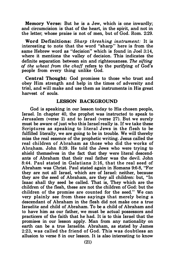Memory Verse: But he is a Jew, which is one inwardly; and circumcision is that of the heart, in the spirit, and not in the letter; whose praise is not of men, but of God. Rom. 2:29.

Word Definitions: Sharp threshing instrument: It is interesting to note that the word "sharp" here is from the same Hebrew word as "decision" which is found in Joel 3:14, where it mentions the valley of decision. This indicates the definite separation between sin and righteousness. The sifting of the wheat from the chaff refers to the purifying of God's people from every thing unlike God.

Central Thought: God promises to those who trust and obey Him strength and help in the times of adversity and trial, and will make and use them as instruments in His great harvest of souls.

#### LESSON BACKGROUND

God is speaking in our lesson today to His chosen people, Israel. In chapter 40, the prophet was instructed to speak to Jerusalem (verse 2) and to Israel (verse 27). But we surely must be aware of just who this Israel really is. If we take these Scriptures as speaking to literal Jews in the flesh to be fulfilled literally, we are going to be in trouble. We will thereby miss the real essence of the prophetic writing. Jesus called the real children of Abraham as those who did the works of Abraham. John 8:39. He told the Jews who were trying to shield themselves in the fact that they were literal descendants of Abraham that their real father was the devil. John 8:44. Paul stated in Galatians 3: 16, that the real seed of Abraham was Christ. Paul stated again in Romans 9:6-8, "For they are not all Israel, which are of Israel: neither, because they are the seed of Abraham, are they all children: but, "In Isaac shall thy seed be called. That is, They which are the children of the flesh, these are not the children of God: but the children of the promise are counted for the seed." We can very plainly see from these sayings that merely being a descendant of Abraham in the flesh did not make one a true Israelite and child of Abraham. To be a child of Abraham and to have him as our father, we must be actual possessors and practicers of the faith that he had. It is to this Israel that the promises in our lesson apply. Man from any nationality on earth can be a true Israelite. Abraham, as stated by James 2:23, was called the friend of God. This was doubtless an allusion to verse 8 in our lesson. It is also interesting to know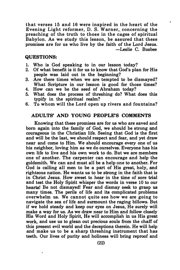that verses 15 and 16 were inspired in the heart of the Evening Light reformer, D. S. W arner, concerning the preaching of the truth to those in the cages of spiritual Babylon. As we study this lesson, be assured that these promises are for us who live by the faith of the Lord Jesus. -Leslie C. Busbee

#### QUESTIONS:

- 1. Who is God speaking to in our lesson today?
- 2. Of what benefit is it for us to know that God's plan for His people was laid out in the beginning?
- 3. Are there times when we are tempted to be dismayed? What Scripture in our lesson is good for those times?
- 4. How can we be the seed of Abraham today?
- 5. What does the process of threshing do? What does this typify in the spiritual realm?
- 6. To whom will the Lord open up rivers and fountains?

#### ADULTS' AND YOUNG PEOPLE'S COMMENTS

Knowing that these promises are for us who are saved and born again into the family of God, we should be strong and courageous in the Christian life. Seeing that God is the first and will be the last, we should respect and fear, and yet draw near and come to Him. We should encourage every one of us his neighbor, loving him as we do ourselves. Everyone has his own life to live and his own work to do. But we are members one of another. The carpenter can encourage and help the goldsmith. We can and must all be a help one to another. For God is calling all men to be a part of His great, holy, and righteous nation. He wants us to be strong in the faith that is in Christ Jesus. How sweet to hear in the time of sore trial and test the Holy Spirit whisper the words in verse 10 to our hearts! Be not dismayed! Fear and dismay seek to grasp us many times. The perils of life and its complicated problems overwhelm us. We cannot quite see how we are going to navigate the sea of life and surmount the raging billows. But if we hold steady and keep our eyes on Jesus, He surely will make a way for us. As we draw near to Him and follow closely His Word and Holy Spirit, He will accomplish in us His great work, and use us to glean out precious souls from the chaff of this present evil world and the deceptions therein. He will help and make us to be a sharp threshing instrument that has teeth. Our lives of purity and holiness will bring reproof and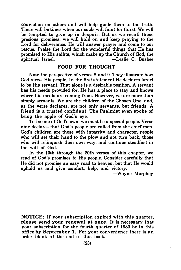conviction on others and will help guide them to the truth. There will be times when our souls will faint for thirst. We will be tempted to give up in despair. But as we recall these precious promises, we will hold on and keep praying to the Lord for deliverance. He will answer prayer and come to our rescue. Praise the Lord for the wonderful things that He has pro�ised to His saiflts, which make up the Church of God, the spiritual Israel. -Leslie C. Busbee

#### FOOD FOR THOUGHT

Note the perspective of verses 8 and 9. They illustrate how God views His people. In the first statement He declares Israel to be His servant. That alone is a desirable position. A servant has his needs provided for. He has a place to stay and knows where his meals are coming from. However, we are more than simply servants. We are the children of the Chosen One, and, as the verse declares, are not only servants, but friends. A friend is a trusted confidant. The Psalmist even spoke of being the apple of God's eye.

To be one of God's own, we must be a special people. Verse nine declares that God's people are called from the chief men. God's children are those with integrity and character, people who will set their hand to the plow and not turn back, those who will relinquish their own way, and continue steadfast in the will of God.

In the lOth through the 20th verses of this chapter, we read of God's promises to His people. Consider carefully that He did not promise an easy road to heaven, but that He would uphold us and give comfort, help, and victory.

-Wayne Murphey

NOTICE: If your subscription expired with this quarter, please send your renewal at once. It is necessary that your subscription for the fourth quarter of 1983 be in this office by September 1. For your convenience there is an order blank at the end of this book.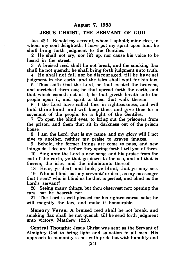#### JESUS CHRIST, THE SERVANT OF GOD

Isa. 42:1 Behold my servant, whom I uphold; mine elect, in whom my soul delighteth; I have put my spirit upon him: he shall bring forth judgment to the Gentiles.

2 He shall not cry, nor lift up, nor cause his voice to be heard in the street.

3 A bruised reed shall he not break, and the smoking flax shall he not quench: he shall bring forth judgment unto truth.

4 He shall not fail nor be discouraged, till he have set judgment in the earth: and the isles shall wait for his law.

5 Thus saith God the Lord, he that created the heavens, and stretched them out; he that spread forth the earth, and that which cometh out of it; he that giveth breath unto the people upon it, and spirit to them that walk therein:

6 I the Lord have called thee in righteousness, and will hold thine hand, and will keep thee, and give thee for a covenant of the people, for a light of the Gentiles;

7 To open the blind eyes, to bring out the prisoners from the prison, and them that sit in darkness out of the prison house.

8 I am the Lord: that is my name: and my glory will I not give to another, neither my praise to graven images.

9 Behold, the former things are come to pass, and new things do I declare: before they spring forth I tell you of them.

10 Sing unto the Lord a new song, and his praise from the end of the earth, ye that go down to the sea, and all that is therein; the isles, and the inhabitants thereof.

18 Hear, ye deaf; and look, ye blind, that ye may see.

19 Who is blind, but my servant? or deaf, as my messenger that I sent? who is blind as he that is perfect, and blind as the Lord's servant?

20 Seeing many things, but thou observest not; opening the ears, but he heareth not.

21 The Lord is well pleased for his righteousness' sake; he will magnify the law, and make it honourable.

Memory Verse: A bruised reed shall he not break, and smoking flax shall he not quench, till he send forth judgment unto victory. Matthew 12:20.

Central Thought: Jesus Christ was sent as the Servant of Almighty God to bring light and salvation to all men. His approach to humanity is not with pride but with humility and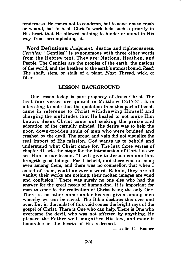tenderness. He comes not to condemn, but to save; not to crush or wound, but to heal. Christ's work held such a priority in His heart that He allowed nothing to hinder or stand in His way from accomplishing it.

Word Defintions: Judgment: Justice and righteousness. Gentiles: "Gentiles" is synonomous with three other words from the Hebrew text. They are: Nations, Heathen, and People. The Gentiles are the peoples of the earth, the nations of the world, and the heathen to the earth's utmost bound. Reed: The shaft, stem, or stalk of a plant. Flax: Thread, wick, or fiber.

#### LESSON BACKGROUND

Our lesson today is pure prophecy of Jesus Christ. The first four verses are quoted in Matthew  $12:17-21$ . It is interesting to note that the quotation from this part of Isaiah came in reference to Christ withdrawing Himself and charging the multitudes that He healed to not make Him known. Jesus Christ came not seeking the praise and adoration of the carnally minded. His desire was to help the poor, down-trodden souls of men who were bruised and crushed by the devil. The proud and vain did not visualize the real import of His mission. God wants us to behold and understand what Christ came for. The last three verses of chapter 41 sets the stage for the introduction of Christ as we see Him in our lesson. "I will give to Jerusalem one that bringeth good tidings. For I beheld, and there was no man; even among them, and there was no counsellor, that when I asked of them, could answer a word. Behold, they are all vanity; their works are nothing: their molten images are wind and confusion." There was surely no one else who had the answer for the great needs of humankind. It is important for man to come to the realization of Christ being the only One. There is no other name under heaven given among men whereby we can be saved. The Bible declares this over and over. But in the midst of this void comes the bright rays of the · gospel of Christ. There is One who can help. There is One who overcame the devil, who was not affected by anything. He pleased the Father well, magnified His law, and made it honorable in the hearts of His redeemed.

-Leslie C. Busbee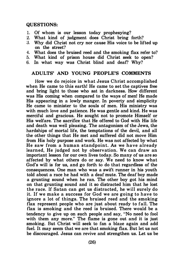#### QUESTIONS:

- 1. Of whom is our lesson today prophesying?<br>2. What kind of judgment does Christ bring
- 2. What kind of judgment does Christ bring forth?<br>3. Why did Christ not cry nor cause His voice to be lif
- Why did Christ not cry nor cause His voice to be lifted up on the street?
- 4. What does the bruised reed and the smoking flax refer to?
- 5. What kind of prison house did Christ seek to open?
- 6. In what way was Christ blind and deaf? Why?

#### ADULTS' AND YOUNG PEOPLE'S COMMENTS

How we do rejoice in what Jesus Christ accomplished when He came to this earth! He came to set the captives free and bring light to those who sat in darkness. How different was His coming when compared to the ways of men! He made His appearing in a lowly manger. In poverty and simplicity He came to minister to the souls of men. His ministry was with much love and patience. He was gentle and kind. He was merciful and gracious. He sought not to promote Himself or His welfare. The sacrifice that He offered to God with His life and death was well pleasing. The antagonism of the Jews, the hardships of mortal life, the temptations of the devil, and all the other things that He met and suffered did not move Him from His holy purpose and work. He was not affected by what He saw from a human standpoint. As we have already learned, He judged not by observation. We can draw an important lesson for our own lives today. So many of us are so affected by what others do or say. We need to know what God's will is for us, and go forth to do that regardless of the consequences. One man who was a swift runner in his youth told about a race he had with a deaf mute. The deaf boy made a grunting sound when he ran. The other boy got his mind on that grunting sound and it so distracted him that he lost the race. If Satan can get us distracted, he will surely do it. If we make a success for God we are going to have to ignore a lot of things. The bruised reed and the smoking flax represent people who are just about ready to fall. The flax is smoking and the reed is bruised. There would be a tendency to give up on such people and say, "No need to fool with them any more." The flame is gone out and it is just smoking. But Christ will seek to fan a blaze again and add fuel. It may seem that we are that smoking flax. But let us not be discouraged. Jesus can revive and strengthen us. Let us be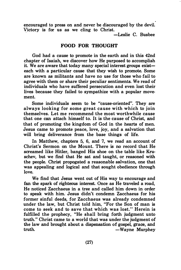encouraged to press on and never be discouraged by the devil. Yictory is for us as we cling to Christ.

-Leslie C. Busbee

### FOOD FOR THOUGHT

God had a cause to promote in the earth and in this 42nd chapter of Isaiah, we discover how He purposed to accomplish it. We are aware that today many special interest groups  $exist$ each with a particular cause that they wish to promote. Some are known as militants and have no use for those who fail to agree with them or share their peculiar sentiments. We read of individuals who have suffered persecution and even lost their lives because they failed to sympathize with a popular movement.

Some individuals seem to be "cause-oriented". They are always looking for some great cause with which to join themselves. Let me recommend the most worthwhile cause that one can attach himself to. It is the cause of Christ, and that of promoting the kingdom of God in the hearts of men. Jesus came to promote peace, love, joy, and a salvation that will bring deliverance from the base things of life.

In Matthew, chapters 5, 6, and 7, we read an account of Christ's Sermon on the Mount. There is no record that He screamed like Hitler, banged His shoe on the table like Kruschev, but we find that He sat and taught, or reasoned with the people. Christ propagated a reasonable salvation, one that was appealing and logical and that sought obedience through love.

We find that Jesus went out of His way to encourage and fan the spark of righteous interest. Once as He traveled a road, He noticed Zacchaeus in a tree and called him down in order to speak with him. Jesus didn't condemn Zacchaeus for his former sinful deeds, for Zacchaeus was already condemned under the law, but Christ told him, "For the Son of man is come to seek and to save that which was lost." Herein is fulfilled the prophecy, "He shall bring forth judgment unto truth." Christ came to a world that was under the judgment of the law and brought about a dispensation of gospel, grace, and truth. -Wayne Murphey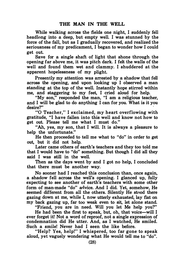While walking across the fields one night, I suddenly fell headlong into a deep, but empty well. I was stunned by the force of the fall, but as I gradually recovered, and realized the seriousness of my predicament, I began to wonder how I could get out.

Save for a single shaft of light that shone through the opening far above me, it was pitch dark. I felt the walls of the well and found them wet and clammy. I shuddered at the apparent hopelessness of my plight.

Presently my attention was arrested by a shadow that fell across the opening, and upon looking up I observed a man standing at the top of the well. Instantly hope stirred within me, and staggering to my feet, I cried aloud for help.

"My son," responded the man, "I am a religious teacher, and I will be glad to do anything I can for you. What is it you desire?" ·

"0 Teacher," I exclaimed, my heart overflowing with gratitude, "I have fallen into this well and know not how to get out. Please tell me what I must do."

"Ah, yes, my son, that I will. It is always a pleasure to help the unfortunate."

He then proceeded to tell me what to "do" in order to get out, but it did not help.

Later came others of earth's teachers and they too told me that I would have to "do" something. But though I did all they said I was still in the well.

Then as the days went by and I got no help, I concluded that there must be another way.

No sooner had I reached this conclusion than, once again, a shadow fell across the well's opening. I glanced up, fully expecting to see another of earth's teachers with some other form of man-made "do" advice. And I did. Yet, somehow, He seemed different from all the others. Silently He stood there gazing down at me, while I, now utterly exhausted, lay flat on my back gazing up, far too weak even to sit, let alone stand.

"Friend, you are in need. Will you let Me help you?"

He had been the first to speak, but, oh, that voice-will I ever forget it! Not a word of reproof, not a single expression of condemnation did He utter. And, as I watched, He smiled. Such a smile! Never had I seen the like before.

"Help? Yes, help!" I whispered, too far gone to speak aloud, yet vaguely wondering what He would tell me to "do".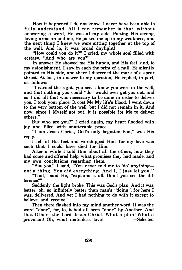How it happened I do not know. I never have been able to fully understand. All I can remember is that, without answering a word, He was at my side. Putting His strong, loving arms around me, He picked me up in my weakness, and the next thing I knew we were sitting together at the top of the well. And lo, it was broad daylight!

"How could you do it?" I cried, my whole soul filled with ecstasy. "And who are you?"

In answer He showed me His hands, and His feet, and, to my astonishment, I saw in each the print of a nail. He silently pointed to His side, and there I discerned the mark of a spear thrust. At last, in answer to my question, He replied, in part, as follows:

"I earned the right, you see. I knew you were in the well, and that nothing you could "do" would ever get you out, and so I did all that was necessary to be done in order to deliver you. I took your place. It cost Me My life's blood. I went down to the very bottom of the well, but I did not remain in it. And now, since I Myself got out, it is possible for Me to deliver others."

But who are you?" I cried again, my heart flooded with joy and filled with unutterable peace.

"I am Jesus Christ, God's only begotten Son," was His reply.

I fell at His feet and worshipped Him, for my love was such that I could have died for Him.

After a while I told Him about all the others, how they had come and offered help, what promises they had made, and my own conclusions regarding them.

"But you," I said, "You never told me to 'do' anythingnot a thing. You did everything. And I, I just let you."

"That," said He, "explains it all. Don't you see the difference?"

Suddenly the light broke. This was God's plan. And it was better, oh, so infinitely better than man's "doing", for here I was, delivered. And yet I had nothing to do with it except to believe and receive.

Then there flashed into my mind another word. It was the word "done", for, lo, it had all been "done" by Another. And that Other-the Lord Jesus Christ. What a plan! What a provision! Oh, what matchless love! -Selected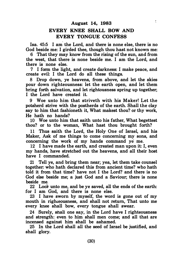# August 14, 1983 EVERY KNEE SHALL BOW AND EVERY TONGUE CONFESS

t

Isa. 45:5 I am the Lord, and there is none else, there is no God beside me: I girded thee, though thou hast not known me:

6 That they may know from the rising of the sun, and from the west, that there is none beside me. I am the Lord, and there is none else.

7 I form the light, and create darkness: I make peace, and create evil: I the Lord do all these things.

8 Drop down, ye heavens, from above, and let the skies pour down righteousness: let the earth open, and let them bring forth salvation, and let rightousness spring up together; I the Lord have created it.

9 Woe unto him that striveth with his Maker! Let the potsherd strive with the postherds of the earth. Shall the clay say to him that fashioneth it, What makest thou? or thy work, He hath no hands?

10 Woe unto him that saith unto his father, What begettest thou? or to the woman, What hast thou brought forth?

11 Thus saith the Lord, the Holy One of Israel, and his Maker, Ask of me things to come concerning my sons, and concerning the work of my hands command ye me.

12 I have made the earth, and created man upon it: I, even my hands, have stretched out the heavens, and all their host have I commanded.

21 Tell ye, and bring them near; yea, let them take counsel together: who hath declared this from ancient time? who hath told it from that time? have not I the Lord? and there is no God else beside me; a just God and a Saviour; there is none beside me.

22 Look unto me, and be ye saved, all the ends of the earth: for I am God, and there is none else.

23 I have sworn by myself, the word is gone out of my mouth in righeousness, and shall not return. That unto me every knee shall bow, every tongue shall swear.

24 Surely, shall one say, in the Lord have I righteousness and strength: even to him shall men come; and all that are incensed against him shall be ashamed.

25 In the Lord shall all the seed of Israel be justified, and shall glory.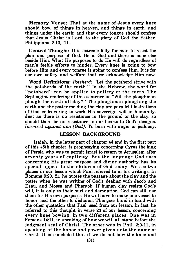Memory Verse: That at the name of Jesus every knee should bow, of things in heaven, and things in earth, and things under the earth; and that every tongue should confess that Jesus Christ is Lord, to the glory of God the Father. Philippians 2:10, 11.

Central Thought: It is extreme folly for man to resist the plan and purpose of God. He is God and there is none else beside Him. What He purposes to do He will do regardless of man's feeble efforts to hinder. Every knee is going to bow before Him and every tongue is going to· confess Him. It is for our own safety and welfare that we acknowledge Him now.

Word Definitions: Potsherd: "Let the potsherd strive with the potsherds of the earth." In the Hebrew, the word for "potsherd" can be applied to pottery or the earth. The Septuagint rendering of this sentence is: "Will the ploughman" plough the earth all day?" The ploughman ploughing the earth and the potter molding the clay are parallel illustrations of God endeavoring to work His sovereign will in humanity. Just as there is no resistance in the ground or the clay, so should there be no resistance in our hearts to God's designs. Incensed against him [God]: To burn with anger or jealousy.

#### LESSON BACKGROUND

Isaiah, in the latter part of chapter 44 and in the first part of this 45th chapter, is prophesying concerning Cyrus the king of Persia who was to permit Israel to return to Jerusalem after seventy years of captivity. But the language God uses concerning His great purpose and divine authority has its special appeal to the children of God today. We see two places in our lesson which Paul referred to in his writings. In Romans 9:20, 21, he quotes the passage about the clay and the potter when he was writing of God's dealing with Jacob and Esau, and Moses and Pharaoh. If human clay resists God's will, it is only to their hurt and damnation. God can still use them for His own purposes. He will have to make one vessel to honor, and the other to dishonor. This goes hand in hand with the other quotation that Paul used from our lesson. In fact, he referred to this thought in verse 23 of our lesson, concerning every knee bowing, in two different places. One was in Romans 14:11, in speaking of how we will all stand before the judgment seat of Christ. The other was in Phil. 2:9-11, in speaking of the honor and power given unto the name of Christ. It is concluded that if we do not bow the knee and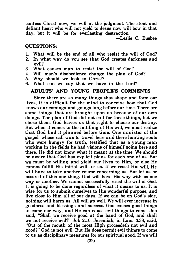confess Christ now, we will at the judgment. The stout and defiant heart who will not yield to Jesus now will bow in that day, but it will be for everlasting destruction.

-Leslie C. Busbee

#### QUESTIONS:

- 1. What will be the end of all who resist the will of God?<br>2. In what way do you see that God creates darkness and
- In what way do you see that God creates darkness and evil?
- 3. What causes man to resist the will of God?
- 4. Will man's disobedience change the plan of God?
- 5. Why should we look to Christ?
- 6. What can we say that we have in the Lord?

#### ADULTS' AND YOUNG PEOPLE'S COMMENTS

Since there are so many things that shape and form our lives, it is difficult for the mind to conceive how that God knows our comings and goings long before our time. There are some things that are brought upon us because of our own doings. The plan of God did not call for these things, but we chose them. God leaves us that right to choose our destiny. But when it comes to the fulfilling of His will, we must realize that God had it planned before time. One minister of the gospel, whose call was to travel here and there hunting souls who were hungry for truth, testified that as a young man working in the fields he had visione of himself going here and there. He did not know what it meant at the time. We should be aware that God has explicit plans for each one of us. But we must be willing and yield our lives to Him, or else He cannot fulfill His initial will for us. If we resist His will, He will have to take another course concerning us. But let us be assured of this one thing. God will have His way with us one way or another. We cannot successfully resist the will of God. It is going to be done regardless of what it means to us. It is wise for us to submit ourselves to His wonderful purpose, and live close to Him all of our days. If we can be on God's side, nothing will harm us. All will go well. We will ever increase in goodness and blessings and success. God causes good things to come our way, and He can cause evil things to come. Job said, "Shall we receive good at the hand of God, and shall we not receive evil?" Job 2:10. Jeremiah, in Lam. 3:38, said, "Out of the mouth of the most High proceedeth not evil and good?" God is not evil. But He does permit evil things to come to us as disciplinary measures for our spiritual good. If we will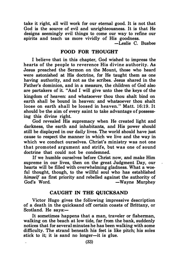take it right, all will work for our eternal good. It is not that God is the source of evil and unrighteousness. It is that He designs seemingly evil things to come our way to refine our spirits and teach us more vividly of His goodness.

 $\overline{-L}$ eslie C. Bushee

#### FOOD FOR THOUGHT

I believe that in this chapter, God wished to impress the hearts of the people to reverence His divine authority. As Jesus preached the Sermon on the Mount, those who heard were astonished at His doctrine, for He taught them as one having authority, and not as the scribes. Jesus shared in the Father's dominion, and in a measure, the children of God also are partakers of it. "And I will give unto thee the keys of the kingdom of heaven: and whatsoever thou thou shalt bind on earth shall be bound in heaven: and whatsoever thou shalt loose on earth shall be loosed in heaven." Matt. 16:19. It should be the aim of every saint to take advantage of possessing this divine right.

God revealed His supremacy when He created light and darkness, the earth and inhabitants, and His power should still be displayed in our daily lives. The world should have just cause to respect the manner in which we live and the way in which we conduct ourselves. Christ's ministry was not one that promoted argument and strife, but was one of sound doctrine that could not be condemned.

If we humble ourselves before Christ now, and make Him supreme in our lives, then on the great Judgment Day, our hearts will be filled with overwhelming gladness. What a woeful thought, though, to the willful soul who has established himself as first priority and rebelled against the authority of God's Word. -Wayne Murphey

### CAUGHT IN THE QUICKSAND

Victor Hugo gives the following impressive description of a death in the quicksand off certain coasts of Brittany, or Scotland. He says:-

It sometimes happens that a man, traveler or fisherman, walking on the beach at low tide, far from the bank, suddenly notices that for several minutes he has been walking with some difficulty. The strand beneath his feet is like pitch; his soles stick to it; it is sand no longer—it is glue.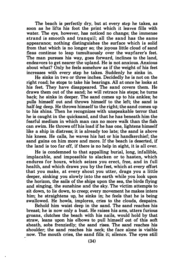The beach is perfectly dry, but at every step he takes, as soon as he lifts his foot the print which it leaves fills with water. The eye, however, has noticed no change; the immense strand is smooth and tranquil; all the sand has the same appearance; nothing distinguishes the surface which is solid from that which is no longer so; the joyous little cloud of sand fleas continue to leap tumultuously over the wayfarer's feet. The man pursues his way, goes forward, inclines to the land, endeavors to get nearer the upland. He is not anxious. Anxious about what? Only he feels somehow as if the weight of his feet increases with every step he takes. Suddenly he sinks in.

He sinks in two or three inches. Decidedly he is not on the right road; he stops to take his bearings. All at once he looks at his feet. They have disappeared. The sand covers them. He draws them out of the sand; he will retrace his steps; he turns back; he sinks in deeper. The sand comes up to his ankles; he pulls himself out and throws himself to the left; the sand is half-leg deep. He throws himself to the right; the sand comes up to his shins. Then he recognizes with unspeakable terror that he is caught in the quicksand, and that he has beneath him the fearful medium in which man can no more walk than the fish can swim. He throws off his load if he has one, lightens himself like a ship in distress; it is already too late; the sand is above his knees. He calls, he waves his hat or his handkerchief; the sand gains on him more and more. If the beach is deserted, if the land is too far off, if there is no help in sight, it is all over.

He is condemned to that appalling burial, long, infallible, implacable, and impossible to slacken or to hasten, which endures for hours, which seizes you erect, free, and in full health, and which draws you by the feet, which at every effort that you make, at every shout you utter, drags you a little deeper, sinking you slowly into the earth while you look upon the horizon, the sails of the ships upon the sea, the birds flying and singing, the sunshine and the sky. The victim attempts to sit down, to lie down, to creep; every movement he makes inters him; he straightens up, he sinks in; he feels that he is being swallowed. He howls, implores, cries to the clouds, despairs.

Behold him waist deep in the sand. The sand reaches his breast; he is now only a bust. He raises his arm, utters furious groans, clutches the beach with his nails, would hold by that straw, leans upon his elbows to pull himself out of this soft sheath, sobs frenziedly; the sand rises. The sand reaches his shoulder; the sand reaches his neck; the face alone is visible now. The mouth cries, the sand fills it; silence. The eyes still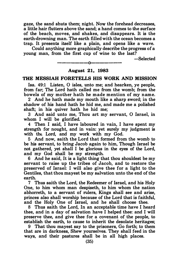gaze, the sand shuts them; night. Now the forehead decreases, a little hair flutters above the sand; a hand comes to the surface of the beach, moves, and shakes, and disappears. It is the earth-drowning man. The earth filled with the ocean becomes a trap. It presents itself like a plain, and opens like a wave.

Could anything more graphically describe the progress of a young man, from the first cup of wine to the last?

-Selected

#### August 21, 1983

---------------------

#### THE MESSIAH FORETELLS HIS WORK AND MISSION

Isa. 49:1 Listen, 0 isles, unto me; and hearken, ye people, from far; The Lord hath called me from the womb; from the bowels of my mother hath he made mention of my name.

2 And he hath made my mouth like a sharp sword; in the shadow of his hand hath he hid me, and made me a polished shaft; in his quiver hath he hid me;

3 And said unto me, Thou art my servant, 0 Israel, in whom I will be glorified.

4 Then I said, I have laboured in vain, I have spent my strength for nought, and in vain: yet surely my judgment is with the Lord, and my work with my God.

5 And now, saith the Lord that formed from the womb to be his servant, to bring Jacob again to him, Though Israel be not gathered, yet shall I be glorious in the eyes of the Lord, and my God shall be my strength.

6 And he said, It is a light thing that thou shouldest be my servant to raise up the tribes of Jacob, and to restore the preserved of Israel: I will also give thee for a light to the Gentiles, that thou mayest be my salvation unto the end of the earth.

7 Thus saith the Lord, the Redeemer of Israel, and his Holy One, to him whom man despiseth, to him whom the nation abhorreth, to a servant of rulers, Kings shall see and arise, princes also shall worship because of the Lord that is faithful, and the Holy One of Israel, and he shall choose thee.

8 Thus saith the Lord, In an acceptable time have I heard thee, and in a day of salvation have I helped thee: and I will preserve thee, and give thee for a covenant of the people, to establish the earth, to cause to inherit the desolate heritages;

9 That thou mayest say to the prisoners, Go forth; to them that are in darkness, Shew yourselves. They shall feed in the ways, and their pastures shall be in all high places.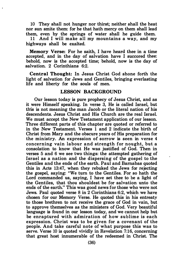10 They shall not hunger nor thirst; neither shall the heat nor sun smite them: for he that hath mercy on them shall lead them, even by the springs of water shall he guide them.

11 And I will make all my mountains a way, and my highways shall be exalted.

Memory Verse: For he saith, I have heard thee in a time accepted, and in the day of salvation have I succored thee: behold, now is the accepted time; behold, now is the day of salvation. 2 Corinthians 6:2.

Central Thought: In Jesus Christ God shone forth the light of salvation for Jews and Gentiles, bringing everlasting life and liberty for the souls of men.

#### LESSON BACKGROUND

Our lesson today is pure prophecy of Jesus Christ, and as it were Himself speaking. In verse 3, He is called Israel, but this is not meaning the man Jacob or the literal nation of his descendents. Jesus Christ and His Church are the real Israel. We must accept the New Testament application of our lesson. Three different parts of this chapter are quoted or referred to in the New Testament. Verses 1 and 2 indicate the birth of Christ from Mary and the obscure years of His preparation for the ministry. An expression of sorrow is seen in verse 4 concerning vain labour and strength for nought, but a consolation to know that He was justified of God. Then in verses 5 and 6 we see two things: the attempted gathering of Israel as a nation and the dispersing of the gospel to the Gentiles and the ends of the earth. Paul and Barnabas quoted this in Acts 13:47, when they rebuked the Jews for rejecting the gospel, saying: "We tum to the Gentiles. For so hath the Lord commanded us, saying, I have set thee to be a light of the Gentiles, that thou shouldest be for salvation unto the ends of the earth." This was good news for those who were not Jews. Paul quoted verse 8 in 2 Corinthians 6:2, which we have chosen for our Memory Verse. He quoted this in his entreaty to those brethren to not receive the grace of God in vain, but to approve themselves as the ministers of God. Very beautiful language is found in our lesson today, and we cannot help but be enraptured with admiration of how sublime is each expression. Christ was to be given for a covenant of the people. And take careful note of what purpose this was to serve. Verse 10 is quoted vividly in Revelation 7:16, concerning that great host innumerable of the redeemed in Christ. The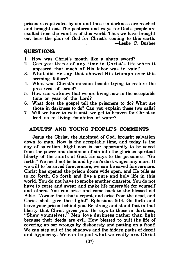prisoners captivated by sin and those in darkness are reached and brought out. The pastures and ways for God's people are exalted from the vanities of this world. Thus we have brought out here the plan of God for Christ's coming to this earth. -Leslie C. Busbee

#### QUESTIONS:

- 1. How was Christ's mouth like a sharp sword?
- 2. Can you think of any time in Christ's life when it appeared that much of His labor was in vain?
- 3. What did He say that showed His triumph over this seeming failure?
- 4. What was Christ's mission beside trying to restore the preserved of Israel?
- 5. How can we know that we are living now in the acceptable time or year of the Lord?
- 6. What does the gospel tell the prisoners to do? What are those in darkness to do? Can you explain these two calls?
- 7. Will we have to wait until we get to heaven for Christ to lead us to living fountains of water?

#### ADULTS' AND YOUNG PEOPLE'S COMMENTS

Jesus the Christ, the Anointed of God, brought salvation down to man. Now is the acceptable time, and today is the day of salvation. Right now is our opportunity to be saved from the power and dominion of sin into the glorious spiritual liberty of the saints of God. He says to the prisoners, "Go forth." We need not be bound by sin's dark wages any more. If we will to be saved forevermore, we can be saved forevermore. Christ has opened the prison doors wide open, and He tells us to go forth. Go forth and live a pure and holy life in this world. You do not have to smoke another cigarette. You do not have to curse and swear and make life miserable for yourself and others. You can arise and come back to the blessed old Bible. "Awake thou that sleepest, and arise from the dead, and Christ shall give thee light!" Ephesians 5:14. Go forth and leave your prison behind you. Be strong and stand fast in that liberty that Christ gives you. He says to those in darkness, "Shew yourselves." Men love darkness rather than light because their deeds are evil. How blessed to quit the life of covering up our wrongs by dishonesty and putting on a front! We can step out of the shadows and the hidden paths of deceit and hypocrisy. We can be just what we really are. Christ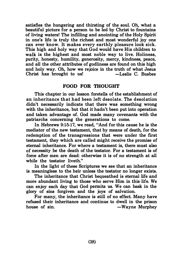satisfies the hungering and thirsting of the soul. Oh, what a beautiful picture for a person to be led by Christ to fountains of living waters! The infilling and anointing of the Holy Spirit in one's life is truly the richest and most wonderful joy one can ever know. It makes every earthly pleasure look sick. This high and holy way that God would have His children to walk is the highest and most noble way to live. Holiness, purity, honesty, humility, generosity, mercy, kindness, peace, and all the other attributes of godliness are found on this high and holy way. Oh, how we rejoice in the truth of what Jesus<br>Christ has brought to us!<br>-Leslie C. Bushee Christ has brought to us!

#### FOOD FOR THOUGHT

This chapter in our lesson foretells of the establishment of an inheritance that had been left desolate. The desolation didn't necessarily indicate that there was something wrong with the inheritance, but that it hadn't been put into operation and taken advantage of. God made many covenants with the patriarchs concerning the generations to come.

In Hebrews 9:15-17, we read, "And for this cause he is the mediator of the new testament, that by means of death, for the redemption of the transgressions that were under the first testament, they which are called might receive the promise of eternal inheritance. For where a testament is, there. must also of necessity ,be the death of the testator. For a testament is of force after men are dead: otherwise it is of no strength at all while the testator liveth."

In the light of these Scriptures we see that an inheritance is meaningless to the heir unless the testator no longer exists.

The inheritance that Christ bequeathed is eternal life and more abundant living to those who serve Him in this life. We can enjoy each day that God permits us. We can bask in the glory of sins forgiven and the joys of salvation.

For many, the inheritance is still of no effect. Many have refused their inheritance and continue to dwell in the prison house of sin.  $-Wayne$  Murphey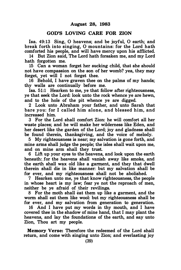#### GOD'S LOVING CARE FOR ZION

Isa. 49:13 Sing, O heavens; and be joyful. O earth: and break forth into singing, 0 mountains: for the Lord hath comforted his people, and will have mercy upon his afflicted.

14 But Zion said, The Lord hath forsaken me, and my Lord hath forgotten me.

15 Can a woman forget her sucking child, that she should not have compassion on the son of her womb? yea, they may forget, yet will I not forget thee.

16 Behold, I have graven thee on the palms of my hands; thy walls are continually before me.

Isa. 51:1 Hearken to me, ye that follow after righteousness, ye that seek the Lord: look unto the rock whence ye are hewn, and to the hole of the pit whence ye are digged.

2 Look unto Abraham your father, and unto Sarah that bare you: for I called him alone, and blessed him, and increased him.

3 For the Lord shall comfort Zion: he will comfort all her waste places; and he will make her wilderness like Eden, and her desert like the garden of the Lord; joy and gladness shall be found therein, thanksgiving, and the voice of melody.

5 My righteousness is near; my salvation is gone forth, and mine arms shall judge the people; the isles shall wait upon me, and on mine arm shall they trust.

6 Lift up your eyes to the heavens, and look upon the earth beneath: for the heavens shall vanish away like smoke, and the earth shall wax old like a garment, and they that dwell therein shall die in like manner: but my salvation shall be for ever, and my righteousness shall not be abolished.

7 Hearken unto me, ye that know righteousness, the people in whose heart is my law; fear ye not the reproach of men, neither be ye afraid of their revilings.

8 For the moth shall eat them up like a garment, and the worm shall eat them like wool: but my righteousness shall be for ever, and my salvation from generation to generation.

16 And I have put my words in thy mouth, and I have covered thee in the shadow of mine hand, that I may plant the heavens, and lay the foundations of the earth, and say unto Zion, Thou art my people.

Memory Verse: Therefore the redeemed of the Lord shall return, and come with singing unto Zion; and everlasting joy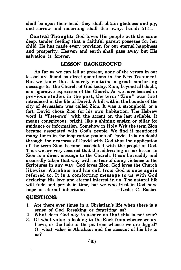shall be upon their head: they shall obtain gladness and joy; and sorrow and mourning shall flee away. Isaiah 51:11.

Central Thought: God loves His people with the same deep, tender feeling that a faithful parent posseses for her child. He has made every provision for our eternal happiness and prosperity. Heaven and earth shall pass away but His salvation is forever.

#### LESSON BACKGROUND

As far as we can tell at present, none of the verses in our lesson are found as direct quotations in the New Testament. But we know that it surely contains a great comforting message for the Church of God today. Zion, beyond all doubt, is a figurative expression of the Church. As we have learned in previous studies in the past, the term "Zion" was first introduced in the life of David. A hill within the bounds of the city of Jerusalem was called Zion. It was a stronghold, or a fort. David chose Zion for his own habitation. The Hebrew word is "Tsee-own" with the accent on the last syllable. It means conspicuous, bright, like a shining ensign or pillar for guidance or information. Somehow in Holy Writ the term Zion became associated with God's people. We find it mentioned many times in the inspiration psalms of David. It is no doubt through the nearness of David with God that the application of the term Zion became associated with the people of God. Thus we are very assured that the addressing in our lesson to Zion is a direct message to the Church. It can be readily and assuredly taken that way with no fear of doing violence to the Scriptures in any way. God loves Zion; God loves the Church likewise. Abraham and his call from God is once again referred to. It is a comforting message to us with God declaring His love and eternal interest in us. The natural life will fade and perish in time, but we who trust in God have<br>hope of eternal inheritance. - - Leslie C. Busbee hope of eternal inheritance.

#### QUESTIONS:

- 1. Are there ever times in a Christian's life when there is a sense of God forsaking or forgetting us?
- 2. What does God say to assure us that this is not true?<br>3. Of what value is looking to the Rock from whence we are
- 3. Of what value is looking to the Rock from whence we are hewn, or the hole of the pit from whence we are digged? Of what value is Abraham and the account of his life to us?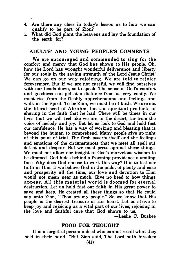- 4. Are there any clues in today's lesson as to how we can qualify to be part of Zion?
- 5. What did God plant the heavens and lay the foundation of the earth for?

#### ADULTS' AND YOUNG PEOPLE'S COMMENTS

We are encouraged and commanded to sing for the comfort and mercy that God has shown to His people. Oh, how the Lord has wrought wonderful deliverance and liberty for our souls in the saving strength of the Lord Jesus Christ! We can go on our way rejoicing. We are told to rejoice forevermore. But if we are not careful, we will find ourselves with our heads down, so to speak. The sense of God's comfort and goodness can get at a distance from us very easily. We must rise from the fleshly apprehensions and feelings and walk in the Spirit. To be Zion, we must be of faith. We are not the literal seed of Abrahm, but the spiritual products of sharing in the faith that he had. There will be times in our lives that we will feel like we are in the desert, far from the voice of melody and joy. But let us look to God and hold fast our confidence. He has a way of working and blessing that is beyond the human to comprehend. Many people give up right at this point of trial. The flesh asserts itself and the feelings and emotions of the circumstances that we meet all spell out defeat and despair. But we must press against these things. We must not allow our insight to God's marvelous wisdom to be dimmed. God hides behind a frowning providence a smiling face. Why does God choose to work this way? It is to test our faith in Him. If we believe God in the midst of plenty and ease and prosperity all the time, our love and devotion to Him would not mean near as much. Give no heed to how things appear. All this material world is doomed for eternal destruction. Let us hold fast our faith in His great power to save and keep. He created all these things so that He could say unto Zion, "Thou art my people." So we know that His people is the dearest treasure of His heart. Let us strive to keep joy and rejoicing as a vital part of our lives; rejoicing in the love and faithful care that God shows to us.

-Leslie C. Busbee

#### FOOD FOR THOUGHT

It is a forgetful person indeed who cannot recall what they hold in their hand. "But Zion said, The Lord hath forsaken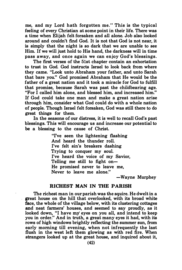me, and my Lord hath forgotten me." This is the typical feeling of every Christian at some point in their life. There was a time when Elijah felt forsaken and all alone. Job also looked around and couldn't find God. It is not that God is not near, it is simply that the night is so dark that we are unable to see Him. If we will just hold to His hand, the darkness will in time pass away, and once again we can enjoy God's blessings.

The first verses of the 51st chapter contain an exhortation to trust in God. God instructs Israel to look back from where they came. "Look unto Abraham your father, and unto Sarah that bare you." God promised Abraham that He would be the father of a great nation and it took a miracle for God to fulfill that promise, because Sarah was past the childbearing age. "For I called him alone, and blessed him, and increased him." If God could take one man and make a great nation arise through him, consider what God could do with a whole nation of people. Though Israel felt forsaken, God was still there to do great things for them.

In the seasons of our distress, it is well to recall God's past blessings. This will encourage us and increase our potential to be a blessing to the cause of Christ.

> "I've seen the lightening flashing And heard the thunder roll. I've felt sin's breakers dashing Trying to conquer my soul. I've heard the voice of my Savior, Telling me still to fight on-He promised never to leave me, Never to leave me alone."

> > -Wayne Murphey

#### RICHEST MAN IN THE PARISH

The richest man in our parish was the squire. He dwelt in a great house on the hill that overlooked, with its broad white face, the whole of the village below, with its clustering cottages and neat farmers' houses, and seemed to say proudly, as it looked down, "I have my' eyes on you all, and intend to keep you in order." And in truth, a great many eyes it had, with its rows of high windows brightly reflecting the summer sun, from early morning till evening, when not infrequently the last flush in the west left them glowing as with red fire. When strangers looked up at the great house, and inquired about it,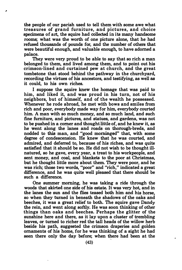the people of our parish used to tell them with some awe what treasures of grand furniture, and pictures, and choice specimens of art, the squire had collected in its many handsome rooms; what was the worth of one picture alone, that he had refused thousands of pounds for, and the number of others that were beautiful enough, and valuable enough, to have adorned a palace.

They were very proud to be able to say that so rich a man belonged to them, and lived among them, and to point out his crimson-lined and curtained pew at church, and the great tombstone that stood behind the pathway in the churchyard, recording the virtues of his ancestors, and testifying, as well as it could, to his own riches.

I suppose the squire knew the homage that was paid to him, and liked it, and was proud in his turn, not of his neighbors, but of himself, and of the wealth he possessed. Whenever he rode abroad, he met with bows and smiles from rich and poor, everybody made way for him, everybody courted him. A man with so much money, and so much land, and such fine furniture, and pictures, and statues, and gardens, was not to be pushed in a comer and thought little of, and he knew it, as he went along the lanes and roads on thorough-breds, and nodded to this man, and "good morninged" that, with some degree of condescension. He knew that he was courted, and admired, and deferred to, because of his riches, and was quite satisfied that it should be so. He did not wish to be thought illnatured, so he gave, every year, a treat to his workpeople, and sent money, and coal, and blankets to the poor at Christmas, but he thought little more about them. They were poor, and he was rich; those two words, "poor" and "rich," indicated a great difference, and he was quite well pleased that there should be such a difference.

One summer morning, he was taking a ride through the woods that skirted one side of his estate. It was very hot, and in the lanes the sun and the flies teased both him and his horse, so when they turned in beneath the shadows of the oaks and beeches, it was a great relief to both. The squire gave Dandy the rein, and went along softly. He was soon thinking of other things than oaks and beeches. Perhaps the glitter of the sunshine here and there, as it lay upon a cluster of trembling leaves, or turned to richer red the tall heads of the willow herb beside his path, suggested the crimson draperies and golden ornaments of his home, for he was thinking of a sight he had seen there only the day before; when there had been at the  $\frac{1}{2}$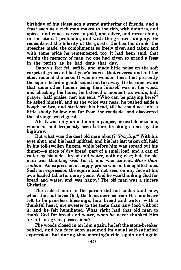birthday of his eldest son a grand gathering of friends, and a feast such as a rich man makes to the rich, with dainties, and spices, and wines, served in gold, and silver, and rarest china, in the utmost profusion, and with the greatest display. He remembered the hilarity of the guests, the healths drank, the speeches made, the compliments so freely given and taken; and with some pride he remembered, too, it had been said, that within the memory of man, no one had given so grand a feast in the parish as he had done that day.

Dandy's feet fell softly, and made little noise on the soft carpet of grass and last year's leaves, that covered and hid the stout roots of the oaks. It was no wonder, then, that presently the squire heard a gentle sound not far away. He became aware that some other human being than himself was in the wood, and checking his horse, he listened a moment, as words, half prayer, half praise, met his ears. "Who can be praying here?" he asked himself, and as the voice was near, he pushed aside a bough or two, and stretched his head, till he could see into a little shady hollow not far from the roadside, and discovered the strange wood-guest.

Ah! It was only an old man, a pauper, or next door to one, whom he had frequently seen before, breaking stones by the highway.

But what was the deaf old man about? "Praying!" With his eyes shut, and his head uplifted, and his hat just taken off, held in his toil-swollen fingers, while before him was spread out his dinner-a piece of dry bread, part of a small loaf, and a can of water by his side-bread and water, nothing else; but the old man was thanking God for it, and was content. More than content. An expression of happy praise was on his uplifted face. Such an expression the squire had not seen on any face at his own loaded table for many years. And he was thanking God for bread and water, and was happy! The old man was a sincere Christian.

The richest man in the parish did not understand how, when the soul loves God, the least mercies from His hands are felt to be priceless blessings; how bread and water, with a thankful heart, are sweeter to the taste than any food without it; and he felt humiliated. What right had that old man to thank God for bread and water, when he never thanked Him for all his great possessions?

The woods closed in on him again, he left the stone-breaker behind, and his face soon assumed its usual self-satisfied expression. But during that morning's ride, again and again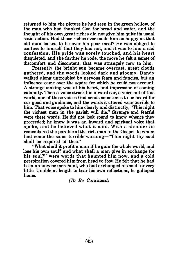returned to him the picture he had seen in the green hollow, of the man who had thanked God for bread and water, and the thought of his own great riches did not give him quite its usual satisfaction. Had those riches ever made him as happy as that old man looked to be over his poor meal? He was obliged to confess to himself that they had not, and it was to him a sad confession. His pride was sorely touched, and his heart disquieted, and the farther he rode, the more he felt a sense of discomfort and discontent, that was strangely new to him.

Presently the bright sun became overcast, great clouds gathered, and the woods looked dark and gloomy. Dandy walked along untroubled by nervous fears and fancies, but an influence came over the squire for which he could not account. A strange sinking was at his heart, and impression of coming calamity. Then a voice struck his inward ear, a voice not of this world, one of those voices God sends sometimes to be heard for our good and guidance, and the words it uttered were terrible to him. That voice spoke to him clearly and distinctly, "This night the richest man in the parish will die." Strange and fearful were these words. He did not look round to know whence they proceeded; he knew it was an inward and spiritual voice that spoke, and he believed what it said. With a shudder he remembered the parable of the rich man in the Gospel, to whom had come the same terrible warning-"This night thy soul shall be required of thee."

"What shall it profit a man if he gain the whole world, and lose his own soul? and what shall a man give in exchange for his soul?" were words that haunted him now, and a cold perspiration covered him from head to foot. He felt that he had been an unwise merchant, who had exchanged his soul for very little. Unable at length to bear his own reflections, he galloped home.

(To Be Continued)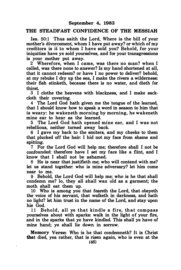#### THE STEADFAST CONFIDENCE OF THE MESSIAH

Isa. 50:1 Thus saith the Lord, Where is the bill of your mother's divorcement, whom I have put away? or which of my creditors is ii to whom I have sold you? Behold, for your iniquities have ye sold yourselves, and for your transgressions is your mother put away.

2 Wherefore, when I came, was there no man? when I called, was there none to answer? Is my hand shortened at all, that it cannot redeem? or have I no power to deliver? behold, at my rebuke I dry up the sea, I make the rivers a wilderness: their fish stinketh, because there is no water, and dieth for thirst.

3 I clothe the heavens with blackness, and I make sackcloth their covering.

4 The Lord God hath given me the tongue of the learned, that I should know how to speak a word in season to him that is weary: he wakeneth morning by morning, he wakeneth mine ear to hear as the learned.

5 The Lord God hath opened mine ear, and I was not rebellious, neither turned away back.

6 I gave my back to the smiters, and my cheeks to them that plucked off the hair: I hid not my face from shame and spitting.

7 For the Lord God will help me; therefore shall I not be confounded: therefore have I set my face like a flint, and I know that I shall not be ashamed.

8 He is near that justifieth me; who will contend with me? let us stand together: who is mine adversary? let him come near to me.

9 Behold, the Lord God will help me; who is he that shall condemn me? lo, they all shall wax old as a garment; the moth shall eat them up.

10 Who is among you that feareth the Lord, that obeyeth the voice of his servant, that walketh in darkness, and hath no light? let him trust in the name of the Lord, and stay upon his God.

11 Behold, all ye that kindle a fire, that compass yourselves about with sparks: walk in the light of your fire, and in the sparks that ye have kindled. This shall ye have of mine hand; ye shall lie down in sorrow.

Memory Verse: Who is he that condemneth? It js Christ that died, yea rather, that is risen again, who is even at the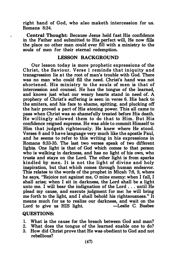right hand of God, who also maketh intercession for us. Romans 8:34.

Central Thought: Because Jesus held fast His confidence in the Father and submitted to His perfect will, He now fills the place no other man could ever fill with a ministry to the souls of men for their eternal redemption.

#### LESSON BACKGROUND

Our lesson today is more prophetic expressions of the Christ, the Saviour. Verse 1 reminds that iniquity and transgression lie at the root of man's trouble with God. There was no man who could fill the need. Christ's hand was not shortened. His ministry to the souls of men is that of intercession and counsel. He has the tongue of the learned, and knows just what our weary hearts stand in need of. A prophecy of Christ's suffering is seen in verse 6. His back to the smiters, and his face to shame, spitting, and plucking off the hair proved a part of His atoning power. This all came to pass when Christ was so shamefully treated before His death. He willingly allowed them to do that to Him. But His confidence reigned supreme. He was able to commit Himself to Him that judgeth righteously. He knew where He stood. Verses 8 and 9 have language very much like the apostle Paul, and he seems to refer to this writing in his expressions in Romans 8:33-35. The last two verses speak of two different lights. One light is that of God which comes to that person who is walking in darkness, and has no light of his own, who trusts and stays on the Lord. The other light is from sparks kindled by men. It is not the light of divine and holy inspiration, but that which comes through human endeavor. This relates to the words of the prophet in Micah 7:8, 9, where he says, "Rejoice not against me, 0 mine enemy: when I fall, I shall arise; when I sit in darkness, the Lord shall be a light unto me. I will bear the indignation of the Lord . . . until He plead my cause, and execute judgment for me: he will bring me forth to the light, and I shall behold his righteousness." It means much for us to realize our darkness, and wait on the Lord to give us HIS light. -Leslie C. Busbee Lord to give us HIS light.

#### QUESTIONS:

- 1. What is the cause for the breach between God and man?
- 2. What does the tongue of the learned enable one to do?
- 3. How did Christ prove that He was obedient to God and not rebellious?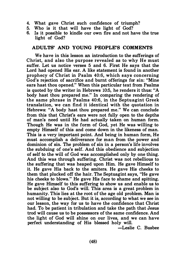- 4. What gave Christ such confidence of triumph?
- 5. Who is it that will have the light of God?
- Is it possible to kindle our own fire and not have the true light of God?

#### ADULTS' AND YOUNG PEOPLE'S COMMENTS

We have in this lesson an introduction to the sufferings of Christ, and also the purpose revealed as to why He must suffer. Let us notice verses 5 and 6. First He says that the Lord had opened His ear. A like statement is found in another prophecy of Christ in Psalm 40:6, which says concerning God's rejection of sacrifice and burnt offerings for sin: "Mine ears hast thou opened." When this particular text from Psalms is quoted by the writer in Hebrews 10:5, he renders it thus: "A body hast thou prepared me." In comparing the rendering of the same phrase in Psalms 40:6, in the Septuagint Greek translation, we can find it identical with the quotation in Hebrews: "A body hast thou prepared me." We can conclude from this that Christ's ears were not fully open to the depths of man's need until He had actually taken on human form. Though He was in the form of God, yet He was willing to empty Himself of this and come down in the likeness of man. This is a very important point. And being in human form, He must accomplish a deliverance for man from the power and dominion of sin. The problem of sin in a person's life involves the subduing of one's self. And this obedience and subjection of self to the will of God was accomplished only by one thing. And this was through suffering. Christ was not rebellious to the suffering that was heaped upon Him. He gave Himself to it. He gave His back to the smiters. He gave His cheeks to them that plucked off the hair. The Septuagint says, "He gave his cheeks to blows." He gave His face to shame and spitting. He gave Himself to this suffering to show us and enable us to be subject also to God's will. This area is a great problem in humanity. This lies at the root of the age old problem. Man is not willing to be subject. But it is, according to what we see in our lesson, the way for us to have the confidence that Christ had. To be patient in tribulation and take the path that Jesus trod will cause us to be possessors of the same confidence. And the light of God will shine on our lives, and we can have perfect understanding of His blessed holy will.

-Leslie C. Busbee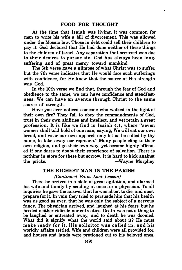At the time that Isaiah was living, it was common for man to write his wife a bill of divorcement. This was allowed under the Mosaic law. Those in debt could sell their children to pay it. God declared that He had done neither of these things to the children of Israel. Any separation that occurred was due to their desires to pursue sin. God has always been longsuffering and of great mercy toward mankind.

The 6th verse gave a glimpse of what Christ was to suffer, but the 7th verse indicates that He would face such sufferings with confidence, for He knew that the source of His strength was God.

In the 10th verse we find that, through the fear of God and obedience to the same, we can have confidence and steadfastness. We can have an avenue through Christ to the same source of strength.

Have you ever noticed someone who walked in the light of their own fire? They fail to obey the commandments of God, trust in their own abilities and intellect, and yet retain a great profession. It is like we find in Isaiah 4:1, where "seven women shall told hold of one man, saying, We will eat our own bread, and wear our own apparel: only let us be called by thy name, to take away our reproach." Many people cling to their own religion, and go their own way, yet become highly offended if one dares to doubt their experience of salvation. There is nothing in store for these but sorrow. It is hard to kick against the pricks.  $\longrightarrow$ Wayne Murphey

### THE RICHEST MAN IN THE PARISH

(Continued From Last Lesson)

There he arrived in a state of great agitation, and alarmed his wife and family by sending at once for a physician. To all inquiries he gave the answer that he was about to die, and must prepare for it. In vain they tried to persuade him that his health was as good as ever, that he was only the subject of a nervous fancy. The physician arrived, and laughed at his fears, but he heeded neither ridicule nor entreaties. Death was not a thing to be laughed or entreated away, and to death he was doomed. What did it signify what the world said about it? He must make ready for it. His solicitor was called in, and his worldly affairs settled. Wife and children were all provided for, and houses and lands were protioned out to his beloved ones.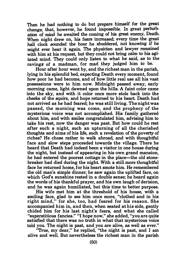Then he had nothing to do but prepare himself for the great change; that, however, he found impossible. In great perturbation of mind he awaited the coming of his great enemy, Death. When night drew on, his fears increased; every time the great hall clock sounded the hour he shuddered, not knowing if he might ever hear it again. The physician and lawyer remained with him at his request, but they could not bring calm to his agitated mind. They could only listen to what he said, as to the ravings of a madman, for mad they judged him to be.

Hour after hour went by, and the richest man in the parish, lying in his splendid bed, expecting Death every moment, found how poor he had become, and of how little real use all his vast possessions were to him now. Midnight passed away, early morning came, light dawned upon the hills. A faint color came into the sky, and with it color once more stole back into the cheeks of the squire, and hope returned to his heart. Death had not arrived as he had feared; he was still living. The night was passed, the morning was come, and the prophecy of the mysterious voice was not accomplished. His family gathered about him, and with smiles congratulated him, advising him to take his rest, now the danger was past. But how could he rest after such a night, such an upturning of all the cherished thoughts and aims of his life, such a revelation of the poverty of riches? He chose rather to walk abroad, and with thoughtful face and slow steps proceeded towards the village. There he heard that Death had indeed been a visitor in one house during the night, but instead of appearing in his own grand mansion, he had entered the poorest cottage in the place—the old stonebreaker had died during the night. With a still more thoughtful face he returned home, for his heart smote him. He remembered the old man's simple dinner; he saw again the uplifted face, on which God's sunshine rested in a double sense; he heard again the words of his thankful prayer, and his own laugh of derision, and he was again humiliated, but this time to better purpose.

His wife met him at the threshold of his house, with a smiling face, glad to see him once more, "clothed and in his right mind," for she, too, had feared for his reason. She accompanied him in, and then, when seated at his side, gently chided him for his last night's fears, and what she called "superstitious fancies." "I hope now," she added, "you are quite satisfied that there was no truth in what that mysterious voice told you. The night is past, and you are alive, as well as ever."

"True, my dear," he replied, "the night is past, and I am alive and well. But nevertheless the richest man in the parish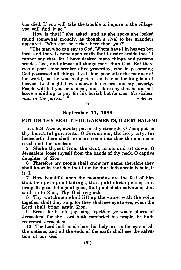has died. If you will take the trouble to inquire in the village, you will find it so."

"How is that?" she asked, and as she spoke she looked round somewhat proudly, as though a rival to her grandeur appeared. "Who can be richer here than you?"

"The man who can say to God, 'Whom have I in heaven but thee, and there is none upon earth that I desire beside thee.' I cannot say that, for I have desired many things and persons besides God, and almost all things more than God. But there was a poor stone-breaker alive yesterday, who in possessing God possessed all things. I call him poor after the manner of the world, but he was really rich-an heir of the kingdom of heaven. Last night I was shown his riches and my poverty. People will tell you he is dead, and I dare say that he did not leave a shilling to pay for his burial; but he was 'the richest man in the parish.' " -Selected

# -------0------ September 11, 1983

#### PUT ON THY BEAUTIFUL GARMENTS, 0 JERUSALEM!

Isa. 52:1 Awake, awake; put on thy strength, 0 Zion; put on thy beautiful garments, 0 Jerusalem, the holy city: for henceforth there shall no more come into thee the uncircumcised and the unclean.

2 Shake thyself from the dust; arise, and sit down, 0 Jerusalem: loose thyself from the bands of thy neck, 0 captive daughter of Zion.

6 Therefore my people shall know my name: therefore they shall know in that day that I am he that doth speak: behold, it is I.

7 How beautiful upon the mountains are the feet of him that bringeth good tidings, that publisheth peace; that bringeth good tidings of good, that publisheth salvation; that saith unto Zion, Thy God reigneth!

8 Thy watchmen shall lift up the voice; with the voice together shall they sing: for they shall see eye to eye, when the Lord shall bring again Zion.

9 Break forth into joy, sing together, ye waste places of Jerusalem: for the Lord hath comforted his people, he hath redeemed Jerusalem.

10 The Lord hath made bare his holy arm in the eyes of all the nations; and all the ends of the earth shall see the salvation of our God.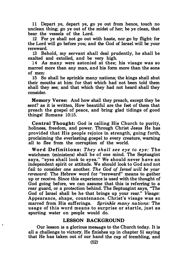11 Depart ye, depart ye, go ye out from hence, touch no unclean thing; go ye out of the midst of her; be ye clean, that bear the vessels of the Lord.

12 For ye shall not go out with haste, nor go by flight: for the Lord will go before you; and the God of Israel will be your rereward.

13 Behold, my servant shall deal prudently, he shall be exalted and extolled, and be very high.

14 As many were astonied at thee; his visage was so marred more than any man, and his form more than the sons of men:

15 So shall he sprinkle many nations; the kings shall shut their mouths at him: for that which had not been told them shall they see; and that which they had not heard shall they consider.

Memory Verse: And how shall they preach, except they be sent? as it is written, How beautiful are the feet of them that preach the gospel of peace, and bring glad tidings of good things! Romans 10:15.

Central Thought: God is calling His Church to purity, holiness, freedom, and power. Through Christ Jesus He has provided that His people rejoice in strength, going forth, proclaiming the everlasting gospel to every creature, warning all to flee from the corruption of the world.

Word Definitions: They shall see eye to eye: The watchmen (ministers) shall be of one mind. The Septuagint says, "eyes shall look to eyes." We should never have an independent spirit or attitude. We should look to God and not fail to consider one another. The God of Israel will be your rereward: The Hebrew word for "rereward" means to gather up or receive. Since this experience is used with the thought of God going before, we can assume that this is referring to a rear guard, or a protection behind. The Septuagint says, "The God of Israel shall be he that brings up your rear." Visage: Appearance, shape, countenance. Christ's visage was so marred from His sufferings. Sprinkle many nations: The usage of this word means to surprise or startle, just as spurting water on people would do.

#### LESSON BACKGROUND

Our lesson is a glorious message to the Church today. It is all a challenge to victory. He finishes up in chapter 51 saying that He has taken out of our hand the cup of trembling, and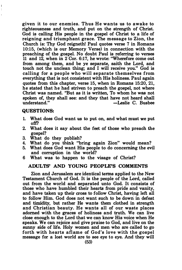given it to our enemies. Thus He wants us to awake to righteousness and truth, and put on the strength of Christ. God is calling His people in the gospel of Christ to a life of reigning and triumphant grace. The message to Zion, the Church is: Thy God reigneth! Paul quotes verse 7 in Romans 10:15, (which is our Memory Verse) in connection with the preaching of the gospel. No doubt Paul is referring to verses 11 and 12, when in 2 Cor. 6:17, he wrote: "Wherefore come out from among them, and be ye separate, saith the Lord, and touch not the unclean thing; and I will receive you." God is calling for a people who will separate themselves from everything that is not consistent with His holiness. Paul again quotes from this chapter, verse 15, when in Romans 15:20, 21, he stated that he had striven to preach the gospel, not where Christ was named. "But as it is written, To whom he was not spoken of, they shall see: and they that have not heard shall<br>understand." $-$ Leslie C. Bushee -Leslie C. Busbee

#### QUESTIONS:

Ţ ÷

- 1. What does God want us to put on, and what must we put off?
- 2. What does it say about the feet of those who preach the gospel?
- 3. What do they publish?
- 4. What do you think "bring again Zion" would mean?
- 5. What does God want His people to do concerning the evil and corruption in the world?
- 6 What was to happen to the visage of Christ?

#### ADULTS' AND YOUNG PEOPLE'S COMMENTS

Zion and Jerusalem are identical terms applied to the New Testament Church of God. It is the people of the Lord, called out from the world and separated unto God. It consists of those who have humbled their hearts from pride and vanity, and have taken up their cross to follow Christ, having left all to follow Him. God does not want such to be down in defeat and timidity, but rather He wants them clothed in strength and Christian beauty. He wants all of our waste places adorned with the graces of holiness and truth. We can live close enough to the Lord that we can know His voice when He speaks. We can rejoice and give praise to God, and live on the sunny side of life. Holy women and men who are called to go forth with hearts aflame of God's love with the gospel message for a lost world are to see eye to eye. And they will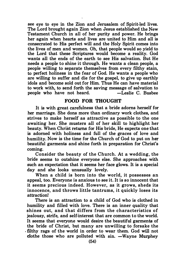see eye to eye in the Zion and Jerusalem of Spirit-led lives. The Lord brought again Zion when Jesus established the New Testament Church in all of her purity and power. He brings her again when hearts and lives are united to Him and all is consecrated to His perfect will and the Holy Spirit comes into the lives of men and women. Oh, that people would so yield to the Lord that these Scriptures would become a reality. God wants all the ends of the earth to see His salvation. But He needs a people to shine it through. He wants a clean people, a people willing to separate themselves from every filthy stain, to perfect holiness in the fear of God. He wants a people who are willing to suffer and die for the gospel, to give up earthly idols and become sold out for Him. Thus He can have material to work with, to send forth the saving message of salvation to neonle who have not heard  $\overline{\phantom{a}}$  -Leslie C. Bushee people who have not heard.

#### FOOD FOR THOUGHT

It is with great carefulness that a bride adorns herself for her marriage. She dons more than ordinary work clothes, and strives to make herself as attractive as possible to the one awaiting her. She musters all of her skill to highlight her beauty. When Christ returns for His bride, He expects one that is adorned with holiness and full of the graces of love and humility. Now is the time for the Church of God to put on her beautiful garments and shine forth in preparation for Christ's coming.

Consider the beauty of the Church. At a wedding, the bride seems to outshine everyone else. She approaches with such an expectation that it seems her face glows. It is a special day and she looks unusually lovely.

When a child is born into the world, it possesses an appeal, too. Everyone is anxious to see it. It is so innocent that it seems precious indeed. However, as it grows, sheds its innocence, and throws little tantrums, it quickly loses its attraction!

There is an attraction to a child of God who is clothed in humility and filled with love. There is an inner quality that shines out, and that differs from the characteristics of jealousy, strife, and self-interest that are common to the world. It seems that everyone would desire the beautiful garments of the bride of Christ, but many are unwilling to forsake the . filthy rags of the world in order to wear them. God will not  $dot$  those who are polluted with sin.  $-Wayne$  Murphey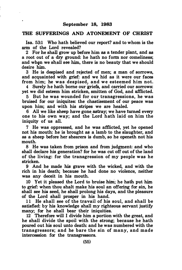٠.

#### THE SUFFERINGS AND ATONEMENT OF CHRIST

Isa. 53:1 Who hath believed our report? and to whom is the arm of the Lord revealed?

2 For be shall grow up before him as a tender plant, and as a root out of a dry ground: he hath no form nor comeliness; and when we shall see him, there is no beauty that we should desire him.

3 He is despised and rejected of men; a man of sorrows, and acquainted with grief: and we hid as it were our faces from him; he was despised, and we esteemed him not.

4 Surely he hath borne our griefs, and carried our sorrows: yet we did esteem him stricken, smitten of God, and afflicted.

5 But he was wounded for our transgressions, he was bruised for our iniquites: the chastisement of our peace was upon him; and with his stripes we are healed.

6 All we like sheep have gone astray; we have turned every one to his own way; and the Lord hath laid on him the iniquity of us all.

7 He was oppressed, and he was afflicted, yet he opened not his mouth: he is brought as a lamb to the slaughter, and as a sheep before her shearers is dumb, so he openeth not his mouth.

8 He was taken from prison and from judgment: and who shall declare his generation? for he was cut off out of the land of the living: for the transgression of my people was he stricken.

9 And he made his grave with the wicked, and with the rich in his death; because he had done no violence, neither was any deceit in his mouth.

10 Yet it pleased the Lord to bruise him; he hath put him to grief: when thou shalt make his soul an offering for sin, he shall see his seed, he shall prolong his days, and the pleasure of the Lord shall prosper in his hand.

11 He shall see of the travail of his soul, and shall be satisfied: by his knowledge shall my righteous servant justify many; for he shall bear their iniquities.

12 Therefore will I divide him a portion with the great, and he shall divide the spoil with the strong; because he hath poured out his soul unto death: and he was numbered with the transgressors; and he bare the sin of many, and made intercession for the transgressors.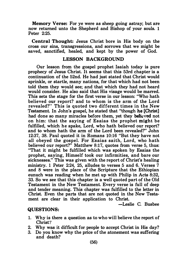Memory Verse: For ye were as sheep going astray; but are now returned unto the Shepherd and Bishop of your souls. 1 Peter 2:25.

Central Thought: Jesus Christ bore in His body on the cross our sins, transgressions, and sorrows that we might be saved, sanctified, healed, and kept by the power of God.

#### LESSON BACKGROUND

Our lesson from the gospel prophet Isaiah today is pure prophecy of Jesus Christ. It seems that this 53rd chapter is a continuation of the 52nd. He had just stated that Christ would sprinkle, or startle, many nations, for that which had not been told them they would see; and that which they had not heard would consider. He also said that His visage would be marred. This sets the stage for the first verse in our lesson: "Who hath believed our report? and to whom is the arm of the Lord revealed?" This is quoted two different times in the New Testament. In John's gospel, he stated that "though he [Christ] had done so many miracles before them, yet they believed not on him: that the saying of Esaias the prophet might be fulfilled, which he spake, Lord, who hath believed our report? and to whom hath the arm of the Lord been revealed?" John 12:37, 38. Paul quoted it in Romans 10:16 "But they have not all obeyed the gospel. For Esaias saith, Lord, who hath believed our report?" Matthew 8:17, quotes from verse 5, thus: "That it might be fulfilled which was spoken by Esaias the prophet, saying, Himself took our infirmities, and bare our sicknesses." This was given with the report of Christ's healing ministry. 1 Peter 2:24, 25, alludes to verses 5 and 6. Verses 7 and 8 were in the place of the Scripture that the Ethiopian eunuch was reading when he met up with Philip in Acts 8:32, 33. So we see that this chapter is a well quoted part of the Old Testament in the New Testament. Every verse is full of deep and tender meaning. This chapter was fulfilled to the letter in Christ. Even the parts that are not quoted in the New Testament are clear in their application to Christ.

-Leslie C. Busbee

#### QUESTIONS:

- 1. Why is there a question as to who will believe the report of Christ'!
- 2. Why was it difficult for people to accept Christ in His day?
- 3. Do you know why the price of the atonement was suffering and death?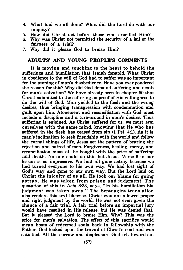- 4. What had we all done? What did the Lord do with our iniquity?
- 5. How did Christ act before those who crucified Him?
- 6. Why was Christ not permitted the security of a jail or the fairness of a trial?
- 7. Why did it please God to bruise Him?

#### ADULTS' AND YOUNG PEOPLE'S COMMENTS

It is moving and touching to the heart to behold the sufferings and humiliation that Isaiah foretold. What Christ in obedience to the will of God had to suffer was so important for the atoning of man's disobedience. Have you ever pondered the reason for this? Why did God demand suffering and death for man's salvation? We have already seen in chapter 50 that Christ submitted to the suffering as proof of His willingness to do the will of God. Man yielded to the flesh and the wrong desires, thus bringing transgression with condemnation and guilt upon him. Atonement and reconciliation with God must include a discipline and a turn-around in man's desires. Thus suffering is enjoined. As Christ suffered for us, we must arm ourselves with the same mind, knowing that He who has suffered in the flesh has ceased from sin (1 Pet. 4:1). As it is man's inclination to seek friendship with the world and follow the carnal things of life, Jesus set the pattern of bearing the rejection and hatred of men. Forgiveness, healing, mercy, and reconciliation must all be bought with the price of suffering and death. No one could do this but Jesus. Verse 6 in our lesson is so impressive. We had all gone astray because we had turned everyone to his own way. We had lost sight of God's way and gone to our own way. But the Lord laid on Christ the iniquity of us all. He took our blame for going astray. He was taken from prison and judgment. The quotation of this in Acts 8:33, says, "In his humiliation his judgment was taken away." The Septuagint translation also renders this text likewise. Christ was not allowed proper and right judgment by the world. He was not even given the chance of a fair trial. A fair trial before an impartial jury would have resulted in His release, but He was denied that. But it pleased the Lord to bruise Him. Why? This was the price for man's salvation. The effect of this sacrifice would mean hosts of redeemed souls back in fellowship with the Father. God looked upon the travail of Christ's soul and was satisfied. All the sorrow and displeasure God felt toward sin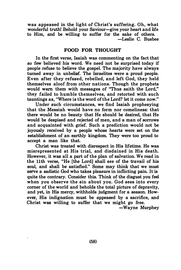was appeased in the light of Christ's suffering. Oh, what wonderful truth! Behold your Saviour-give your heart and life to Him, and be willing to suffer for the sake of others. -Leslie C. Busbee

#### FOOD FOR THOUGHT

In the first verse, Isaiah was commenting on the fact that so few believed his word. We need not be surprised today if people refuse to believe the gospel. The majority have always turned away in unbelief. The Israelites were a proud people. Even after they refused, rebelled, and left God, they held themselves aloof from other nations. Though the prophets would warn them with messages of "Thus saith the Lord,'' they failed to humble themselves, and retorted with such tauntings as, "Where is the word of the Lord? let it come now."

Under such circumstances, we find Isaiah prophesying that the Messiah would have no form nor comeliness: that there would be no beauty that He should be desired, that He would be despised and rejected of men, and a man of sorrows and acquainted with grief. Such a prediction would not be joyously received by a people whose hearts were set on the establishment of an earthly kingdom. They were too proud to accept a man like that.

Christ was treated with disrespect in His lifetime. He was misrepresented at His trial, and disdained in His death. However, it was all a part of the plan of salvation. We read in the 11th verse, "He [the Lord] shall see of the travail of his soul, and shall be satisfied." Some may think that we must serve a sadistic God who takes pleasure in inflicting pain. It is quite the contrary. Consider this. Think of the disgust you feel when you observe the sin about you. God sees into every comer of the world and beholds the total picture of depravity, and yet, in His mercy, withholds judgment for a season. However, His indignation must be appeased by a sacrifice, and Christ was willing to suffer that we might go free.

-Wayne Murphey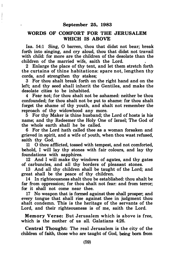$\overline{1}$ 

 $\begin{matrix} \vdots \\ \vdots \\ \vdots \end{matrix}$ 

#### WORDS OF COMFORT FOR THE JERUSALEM WHICH IS ABOVE

Isa. 54:1 Sing, 0 barren, thou that didst not bear; break forth into singing, and cry aloud, thou that didst not travail with child: for more are the children of the desolate than the children of the married wife, saith the Lord.

2 Enlarge the place of thy tent, and let them stretch forth the curtains of thine habitations: spare not, lengthen thy cords, and strengthen thy stakes;

3 For thou shalt break forth on the right hand and on the left; and thy seed shall inherit the Gentiles, and make the desolate cities to be inhabited.

4 Fear not; for thou shalt not be ashamed: neither be thou confounded; for thou shalt not be put to shame: for thou shalt forget the shame of thy youth, and shalt not remember the reproach of thy widowhood any more.

5 For thy Maker is thine husband; the Lord of hosts is his name; and thy Redeemer the Holy One of Israel; The God of the whole earth shall he be called.

6 For the Lord hath called thee as a woman forsaken and grieved in spirit, and a wife of youth, when thou wast refused, saith thy God.

11 0 thou afflicted, tossed with tempest, and not comforted, behold, I will lay thy stones with fair colours, and lay thy foundations with sapphires.

12 And I will make thy windows of agates, and thy gates of carbuncles, and all thy borders of pleasant stones.

13 And all thy children shall be taught of the Lord; and great shall be the peace of thy children.

14 In righteousness shalt thou be established: thou shalt be far from oppression; for thou shalt not fear: and from terror; for it shall not come near thee.

17 No weapon that is formed against thee shall prosper; and every tongue that shall rise against thee in judgment thou shalt condemn. This is the heritage of the servants of the Lord, and their righteousness is of me, saith the Lord.

Memory Verse: But Jerusalem which is above is free, which is the mother of us all. Galatians 4:26.

Central Thought: The real Jerusalem is the city of the children of faith, those who are taught of God, being hom from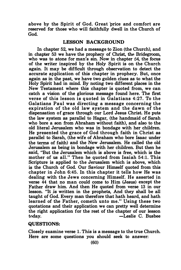above by the Spirit of God. Great price and comfort are reserved for those who will faithfully dwell in the Church of God.

#### LESSON BACKGROUND

In chapter 52, we had a message to Zion (the Church), and in chapter 53 we have the prophecy of Christ, the Bridegroom, who was to atone for man's sin. Now in chapter 54, the focus of the writer inspired by the Holy Spirit is on the Church again. It may be difficult through observation to detect the accurate application of this chapter in prophecy. But, once again as in the past, we have two golden clues as to what the Holy Spirit had in mind. By noting two different places in the New Testament where this chapter is quoted from, we can catch a vision of the glorious message found here. The first verse of this lesson is quoted in Galatians 4:27. To the Galatians Paul was directing a message concerning the expiration of the old law system and the dawn of the dispensation of grace through our Lord Jesus Christ. He puts the law system as parallel to Hagar, (the handmaid of Sarah who bore a son from Abraham without faith), and also to the old literal Jerusalem who was in bondage with her children. He presented the grace of God through faith in Christ as parallel to Sarah, (the wife of Abraham who bore Isaac under the terms of faith) and the New Jerusalem. He called the old Jerusalem as being in bondage with her children. But then he said, "But the Jerusalem which is above is free, which is the mother of us all." Then he quoted from Isaiah 54:1. This Scripture is applied to the Jerusalem which is above, which is the Church of God. Our Saviour Himself quoted from this chapter in John 6:45. In this chapter it tells how He was dealing with the Jews concerning Himself. He asserted in verse 44 that no man could come to Him (Jesus) except the Father draw him. And then He quoted from verse 13 in our lesson. "It js written in the prophets, And they shall be all taught of God. Every man therefore that hath heard, and hath learned of the Father, cometh unto me." Using these two quotations and their application we can pretty well determine the right application for the rest of the chapter of our lesson today. - Leslie C. Busbee

#### QUESTIONS:

Closely examine verse 1. This is a message to the true Church. Here are some questions you should seek to answer: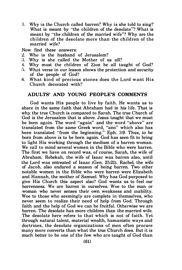1. Why is the Church called barren? Why is she told to sing? What is meant by "the children of the desolate"? What is meant by "the children of the married wife"'? Why are the children of the desolate more than the children of the married wife'?

Now find these answers:

- 2. Who is the husband of Jerusalem'?
- �3. Why is she called the M other of us all?
- 4. Why must the children of Zion be all taught of God?
- :). What verse in our lesson shows the protection and security of the people of God'?
- 6. What kind of precious stones does the Lord want His Church decorated with'?

#### ADULTS' AND YOUNG PEOPLE'S COMMENTS

God wants His people to live by faith. He wants us to share in the same faith that Abraham had in his life. That is why the true Church is compared to Sarah. The true Church of God is the Jerusalem that is above. Jesus taught that we must be born again. The word "again" and the word "above" are translated from the same Greek word, "ano" which also has been translated "from the beginning." Eph. 3:9. Thus, to be born from above is to be born again. God has seen fit to bring to light His working through the medium of a barren woman. We call to mind several women in the Bible who were barren. The first we have on record was, of course, Sarah, the wife of Abraham. Rebekah, the wife of Isaac was barren also, until the Lord was entreated of Isaac (Gen. 25:21). Rachel, the wife of Jacob, also endured a season of being barren. Two other notable women in the Bible who were barren were E lizabeth and Hannah, the mother of Samuel. Why has God purposed to give His Church this aspect also? God wants us to feel our barrenness. We are barren in ourselves. Woe to the man or woman who never senses their own weakness and mability. Woe to those who seemingly are complete in themselves, who never seem to realize their need of help from God. Through faith and the help of God we can be fruitful. Otherwise we are barren. The desolate has more children than the married wife. The desolate here refers to that which is not of faith. Yet through natural talent, material wealth, humanistic ways and doctrines, the desolate organizations of men often procure many more converts than what the true Church does. But it is much better to be one of the few who are taught of God than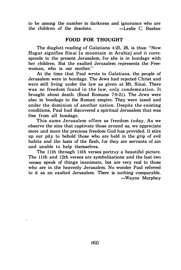to be among the number in darkness and ignorance who are the children of the desolate. - -Leslie C. Busbee

### FOOD FOR THOUGHT

The diaglott reading of Galatians 4:25, 26, is thus: "Now Hagar signifies Sinai [a mountain in Arabia] and it corresponds to the present Jerusalem, for she is in bondage with her children. But the exalted Jerusalem represents the Freewoman, who is our mother."

At the time that Paul wrote to Galatians, the people of Jerusalem were in bondage. The Jews had rejected Christ and were still living under the law as given at Mt. Sinai. There was no freedom found in the law, only condemnation. It brought about death. (Read Romans 7:9-21). The Jews were also in bondage to the Roman empire. They were taxed and under the dominion of another nation. Despite the existing conditions, Paul had discovered a spiritual Jerusalem that was free from all bondage.

This same Jerusalem offers us freedom today. As we observe the sins that captivate those around us, we appreciate more and more the precious freedom God has provided. It stirs up our pity to behold those who are held in the grip of evil habits and the lusts of the flesh, for they are servants of sin and unable to help themselves.

The 11<sup>th</sup> through 14<sup>th</sup> verses portray a beautiful picture. The 11th and 12th verses are symbolizations and the last two verses speak of things inanimate, but are very real to those who are in the heavenly Jerusalem. No wonder Paul referred to it as an exalted Jerusalem. There is nothing comparable. -Wayne Murphey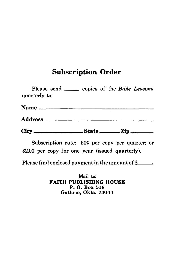# Subscription Order

| <b>Subscription Order</b>                                        |
|------------------------------------------------------------------|
| Please send _______ copies of the Bible Lessons<br>quarterly to: |
|                                                                  |
|                                                                  |
|                                                                  |
| Subscription rate: 50¢ per copy per quarter; or                  |

Subscription rate: 50¢ per copy per quarter; or \$2.00 per copy for one year (issued quarterly).

Please find enclosed payment in the amount of  $\frac{a}{\epsilon}$ 

Mail to: FAITH PUBLISHING HOUSE P. 0. Box 518 Guthrie, Okla. 73044